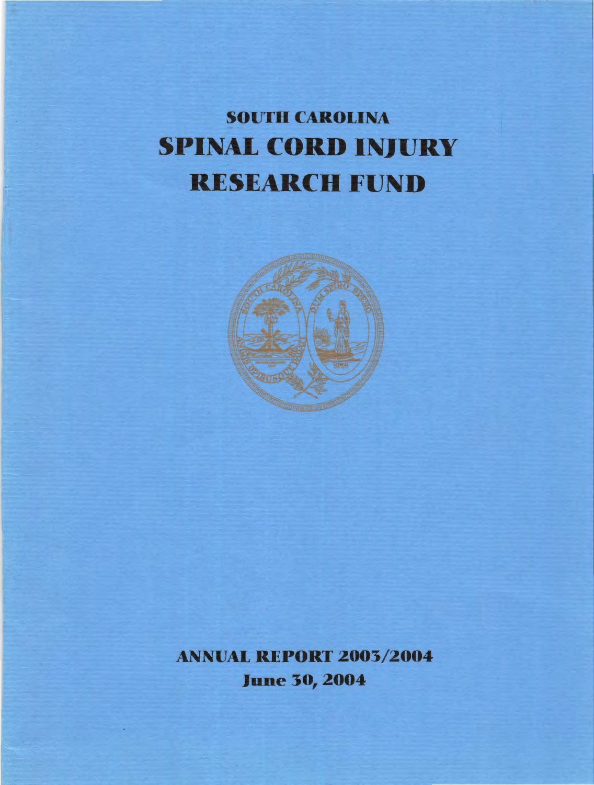SOUTH CAROLINA SPINAL CORD INJURY RESEARCH FUND



**ANNUAL REPORT 2005/2004** June 30, 2004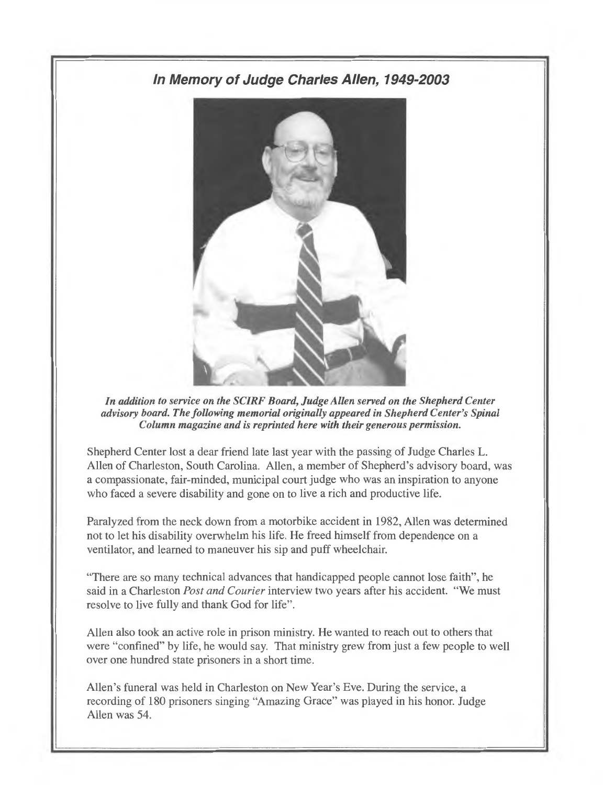### **In Memory of Judge Charles Allen, 1949-2003**



*In addition to service on the SC/RF Board, Judge Allen served on the Shepherd Center advisory board. The following memorial originally appeared in Shepherd Center's Spinal Column magazine and is reprinted here with their generous permission.* 

Shepherd Center lost a dear friend late last year with the passing of Judge Charles L. Allen of Charleston, South Carolina. Allen, a member of Shepherd's advisory board, was a compassionate, fair-minded, municipal court judge who was an inspiration to anyone who faced a severe disability and gone on to live a rich and productive life.

Paralyzed from the neck down from a motorbike accident in 1982, Allen was determined not to let his disability overwhelm his life. He freed himself from dependence on a ventilator, and learned to maneuver his sip and puff wheelchair.

"There are so many technical advances that handicapped people cannot lose faith", he said in a Charleston *Post and Courier* interview two years after his accident. "We must resolve to live fully and thank God for life".

Allen also took an active role in prison ministry. He wanted to reach out to others that were "confined" by life, he would say. That ministry grew from just a few people to well over one hundred state prisoners in a short time.

Allen's funeral was held in Charleston on New Year's Eve. During the service, a recording of 180 prisoners singing "Amazing Grace" was played in his honor. Judge Allen was 54.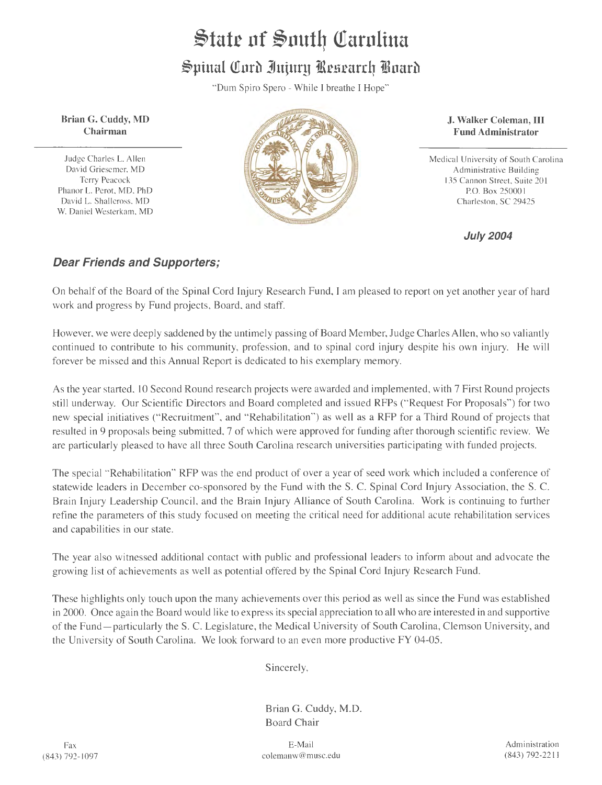# **State of South Carolina**  $\mathfrak s$ piual Cord Injury Research Board

"Dum Spiro Spero - While I breathe I Hope"

**Brian G. Cuddy, MD Chairman** 

Judge Charles L. Allen David Griesemer, MD Terry Peacock Phanor L. Perot, MD, PhD David L. Shallcross, MD W. Daniel Westerkam, MD



**J. Walker Coleman, III Fund Administrator** 

Medical University of South Carolina Administrative Building 135 Cannon Street, Suite 201 P.O. Box 250001 Charleston, SC 29425

**July 2004** 

### **Dear Friends and Supporters;**

On behalf of the Board of the Spinal Cord Injury Research Fund, I am pleased to report on yet another year of hard work and progress by Fund projects, Board, and staff.

However, we were deeply saddened by the untimely passing of Board Member, Judge Charles Allen, who so valiantly continued to contribute to his community, profession, and to spinal cord injury despite his own injury. He will forever be missed and this Annual Report is dedicated to his exemplary memory.

As the year started, 10 Second Round research projects were awarded and implemented, with 7 First Round projects still underway. Our Scientific Directors and Board completed and issued RFPs ("Request For Proposals") for two new special initiatives ("Recruitment", and "Rehabilitation") as well as a RFP for a Third Round of projects that resulted in 9 proposals being submitted, 7 of which were approved for funding after thorough scientific review. We are particularly pleased to have all three South Carolina research universities participating with funded projects.

The special "Rehabilitation" RFP was the end product of over a year of seed work which included a conference of statewide leaders in December co-sponsored by the Fund with the S. C. Spinal Cord Injury Association, the S. C. Brain Injury Leadership Council, and the Brain Injury Alliance of South Carolina. Work is continuing to further refine the parameters of this study focused on meeting the critical need for additional acute rehabilitation services and capabilities in our state.

The year also witnessed additional contact with public and professional leaders to inform about and advocate the growing list of achievements as well as potential offered by the Spinal Cord Injury Research Fund.

These highlights only touch upon the many achievements over this period as well as since the Fund was established in 2000. Once again the Board would like to express its special appreciation to all who are interested in and supportive of the Fund - particularly the S. C. Legislature, the Medical University of South Carolina, Clemson University, and the University of South Carolina. We look forward to an even more productive FY 04-05.

Sincerely,

Brian G. Cuddy, M.D. Board Chair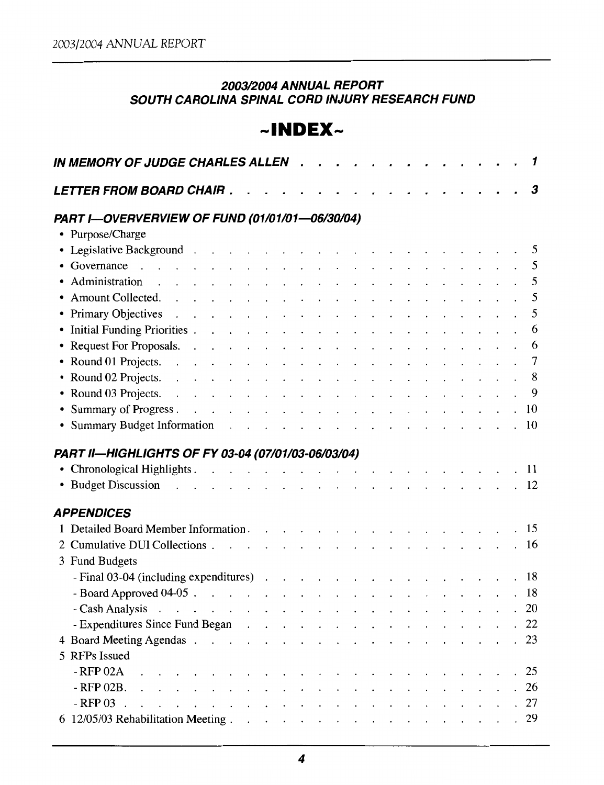### **200312004 ANNUAL REPORT SOUTH CAROLINA SPINAL CORD INJURY RESEARCH FUND**

## **-INDEX-**

| IN MEMORY OF JUDGE CHARLES ALLEN                                                                                                                                                                                                                         |                                               |  |                                                                 |                      |  |  |  |  |  |                      |      |
|----------------------------------------------------------------------------------------------------------------------------------------------------------------------------------------------------------------------------------------------------------|-----------------------------------------------|--|-----------------------------------------------------------------|----------------------|--|--|--|--|--|----------------------|------|
| LETTER FROM BOARD CHAIR .                                                                                                                                                                                                                                |                                               |  |                                                                 |                      |  |  |  |  |  |                      | 3    |
| PART I-OVERVERVIEW OF FUND (01/01/01-06/30/04)                                                                                                                                                                                                           |                                               |  |                                                                 |                      |  |  |  |  |  |                      |      |
| • Purpose/Charge                                                                                                                                                                                                                                         |                                               |  |                                                                 |                      |  |  |  |  |  |                      |      |
|                                                                                                                                                                                                                                                          |                                               |  |                                                                 |                      |  |  |  |  |  |                      |      |
| and the contract of the contract of the contract of the contract of the contract of<br>• Governance                                                                                                                                                      |                                               |  |                                                                 |                      |  |  |  |  |  |                      | 5    |
| and the contract of the contract of the contract of the contract of the contract of<br>• Administration                                                                                                                                                  |                                               |  |                                                                 |                      |  |  |  |  |  |                      | 5    |
|                                                                                                                                                                                                                                                          |                                               |  |                                                                 |                      |  |  |  |  |  |                      | 5    |
| and the contract of the contract of the contract of the contract of the contract of<br>• Primary Objectives                                                                                                                                              |                                               |  |                                                                 |                      |  |  |  |  |  |                      | 5    |
|                                                                                                                                                                                                                                                          |                                               |  |                                                                 |                      |  |  |  |  |  |                      | 6    |
|                                                                                                                                                                                                                                                          |                                               |  |                                                                 |                      |  |  |  |  |  |                      | 6    |
| and the contract of the contract of the contract of the contract of the contract of<br>• Round 01 Projects.                                                                                                                                              |                                               |  |                                                                 |                      |  |  |  |  |  |                      | 7    |
| and the contract of the contract of the contract of the contract of the contract of<br>• Round 02 Projects.                                                                                                                                              |                                               |  |                                                                 |                      |  |  |  |  |  |                      | 8    |
| the contract of the contract of the contract of the contract of the contract of<br>• Round 03 Projects.                                                                                                                                                  |                                               |  |                                                                 |                      |  |  |  |  |  |                      | 9    |
| • Summary of Progress.<br>and the contract of the contract of the contract of the contract of the contract of the contract of the contract of the contract of the contract of the contract of the contract of the contract of the contract of the contra |                                               |  |                                                                 |                      |  |  |  |  |  |                      | 10   |
|                                                                                                                                                                                                                                                          |                                               |  |                                                                 |                      |  |  |  |  |  |                      | 10   |
| PART II-HIGHLIGHTS OF FY 03-04 (07/01/03-06/03/04)                                                                                                                                                                                                       |                                               |  |                                                                 |                      |  |  |  |  |  |                      | 11   |
| and the contract of the contract of the contract of the contract of<br>• Budget Discussion                                                                                                                                                               |                                               |  |                                                                 |                      |  |  |  |  |  |                      | 12   |
| <b>APPENDICES</b>                                                                                                                                                                                                                                        |                                               |  |                                                                 |                      |  |  |  |  |  |                      |      |
| 1 Detailed Board Member Information.                                                                                                                                                                                                                     |                                               |  | and a series of the contract of the contract of                 |                      |  |  |  |  |  |                      | 15   |
| 2 Cumulative DUI Collections.                                                                                                                                                                                                                            | <u>na na manana na manana na manana na ma</u> |  |                                                                 |                      |  |  |  |  |  |                      | 16   |
| 3 Fund Budgets                                                                                                                                                                                                                                           |                                               |  |                                                                 |                      |  |  |  |  |  |                      |      |
| - Final 03-04 (including expenditures)                                                                                                                                                                                                                   |                                               |  |                                                                 | $\sim$ $\sim$ $\sim$ |  |  |  |  |  |                      | 18   |
| - Board Approved 04-05.                                                                                                                                                                                                                                  |                                               |  | the contract of the contract of the con-                        |                      |  |  |  |  |  |                      | 18   |
|                                                                                                                                                                                                                                                          |                                               |  |                                                                 |                      |  |  |  |  |  |                      | . 20 |
|                                                                                                                                                                                                                                                          |                                               |  |                                                                 |                      |  |  |  |  |  |                      | 22   |
|                                                                                                                                                                                                                                                          |                                               |  |                                                                 |                      |  |  |  |  |  | $\ddot{\phantom{a}}$ | 23   |
| 5 RFPs Issued                                                                                                                                                                                                                                            |                                               |  |                                                                 |                      |  |  |  |  |  |                      |      |
| $-$ RFP 02A<br>$\mathbf{r}$ $\mathbf{r}$ $\mathbf{r}$                                                                                                                                                                                                    |                                               |  | the contract of the contract of the contract of the contract of |                      |  |  |  |  |  |                      | 25   |
| and the contract of the contract of the contract of the contract of the contract of<br>- RFP 02B.                                                                                                                                                        |                                               |  |                                                                 |                      |  |  |  |  |  |                      | 26   |
| the contract of the contract of the contract of the contract of the contract of<br>$-$ RFP 03 $-$                                                                                                                                                        |                                               |  |                                                                 |                      |  |  |  |  |  |                      | 27   |
|                                                                                                                                                                                                                                                          |                                               |  |                                                                 |                      |  |  |  |  |  |                      | 29   |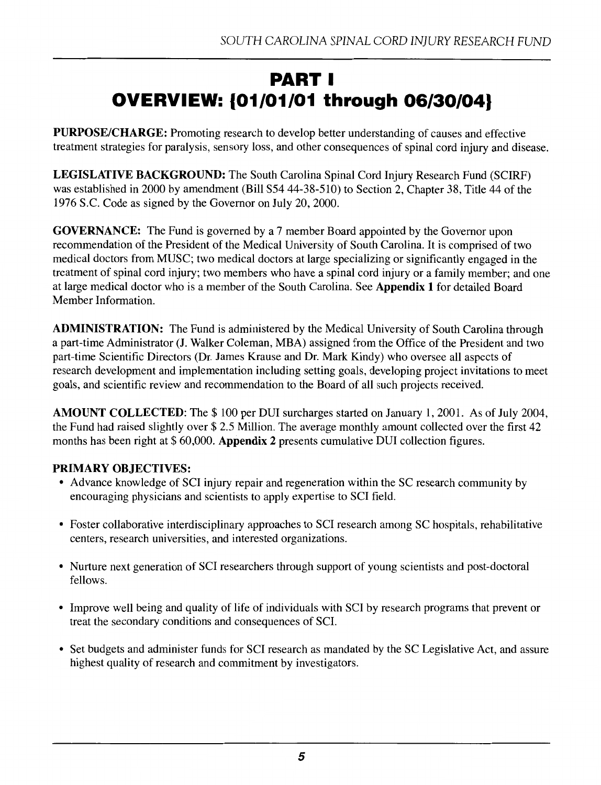# **PART I OVERVIEW: {01/01/01 through 06/30/04}**

**PURPOSE/CHARGE:** Promoting research to develop better understanding of causes and effective treatment strategies for paralysis, sensory loss, and other consequences of spinal cord injury and disease.

**LEGISLATIVE BACKGROUND:** The South Carolina Spinal Cord Injury Research Fund (SCIRF) was established in 2000 by amendment (Bill S54 44-38-510) to Section 2, Chapter 38, Title 44 of the 1976 S.C. Code as signed by the Governor on July 20, 2000.

**GOVERNANCE:** The Fund is governed by a 7 member Board appointed by the Governor upon recommendation of the President of the Medical University of South Carolina. It is comprised of two medical doctors from MUSC; two medical doctors at large specializing or significantly engaged in the treatment of spinal cord injury; two members who have a spinal cord injury or a family member; and one at large medical doctor who is a member of the South Carolina. See **Appendix 1** for detailed Board Member Information.

**ADMINISTRATION:** The Fund is administered by the Medical University of South Carolina through a part-time Administrator (J. Walker Coleman, MBA) assigned from the Office of the President and two part-time Scientific Directors (Dr. James Krause and Dr. Mark Kindy) who oversee all aspects of research development and implementation including setting goals, developing project invitations to meet goals, and scientific review and recommendation to the Board of all such projects received.

**AMOUNT COLLECTED:** The\$ 100 per DUI surcharges started on January 1, 2001. As of July 2004, the Fund had raised slightly over \$ 2.5 Million. The average monthly amount collected over the first 42 months has been right at \$ 60,000. **Appendix 2** presents cumulative DUI collection figures.

### **PRIMARY OBJECTIVES:**

- Advance knowledge of SCI injury repair and regeneration within the SC research community by encouraging physicians and scientists to apply expertise to SCI field.
- Foster collaborative interdisciplinary approaches to SCI research among SC hospitals, rehabilitative centers, research universities, and interested organizations.
- Nurture next generation of SCI researchers through support of young scientists and post-doctoral fellows.
- Improve well being and quality of life of individuals with SCI by research programs that prevent or treat the secondary conditions and consequences of SCI.
- Set budgets and administer funds for SCI research as mandated by the SC Legislative Act, and assure highest quality of research and commitment by investigators.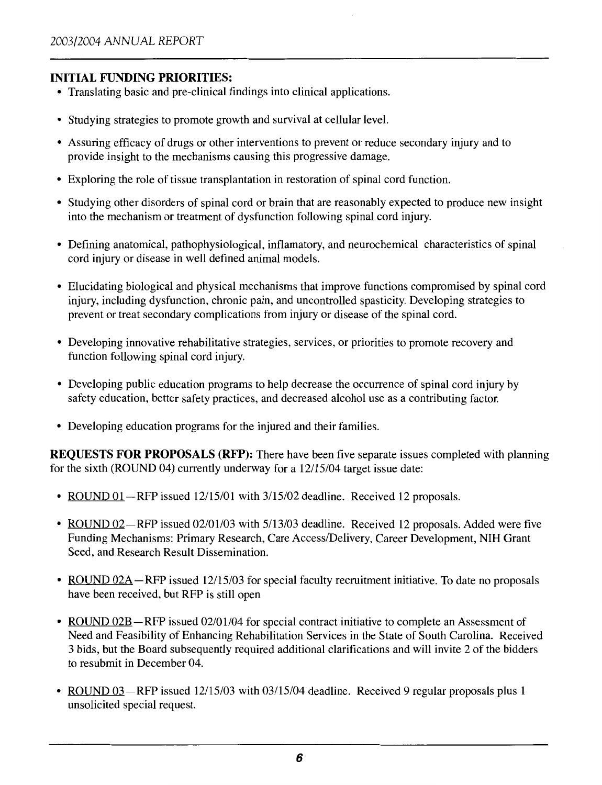### INITIAL FUNDING PRIORITIES:

- Translating basic and pre-clinical findings into clinical applications.
- Studying strategies to promote growth and survival at cellular level.
- Assuring efficacy of drugs or other interventions to prevent or reduce secondary injury and to provide insight to the mechanisms causing this progressive damage.
- Exploring the role of tissue transplantation in restoration of spinal cord function.
- Studying other disorders of spinal cord or brain that are reasonably expected to produce new insight into the mechanism or treatment of dysfunction following spinal cord injury.
- Defining anatomical, pathophysiological, inflamatory, and neurochemical characteristics of spinal cord injury or disease in well defined animal models.
- Elucidating biological and physical mechanisms that improve functions compromised by spinal cord injury, including dysfunction, chronic pain, and uncontrolled spasticity. Developing strategies to prevent or treat secondary complications from injury or disease of the spinal cord.
- Developing innovative rehabilitative strategies, services, or priorities to promote recovery and function following spinal cord injury.
- Developing public education programs to help decrease the occurrence of spinal cord injury by safety education, better safety practices, and decreased alcohol use as a contributing factor.
- Developing education programs for the injured and their families.

REQUESTS FOR PROPOSALS (RFP): There have been five separate issues completed with planning for the sixth (ROUND 04) currently underway for a 12/15/04 target issue date:

- ROUND 01 RFP issued 12/15/01 with 3/15/02 deadline. Received 12 proposals.
- ROUND 02-RFP issued 02/01/03 with 5/13/03 deadline. Received 12 proposals. Added were five Funding Mechanisms: Primary Research, Care Access/Delivery, Career Development, NIH Grant Seed, and Research Result Dissemination.
- ROUND 02A-RFP issued 12/15/03 for special faculty recruitment initiative. To date no proposals have been received, but RFP is still open
- ROUND 02B-RFP issued 02/01/04 for special contract initiative to complete an Assessment of Need and Feasibility of Enhancing Rehabilitation Services in the State of South Carolina. Received 3 bids, but the Board subsequently required additional clarifications and will invite 2 of the bidders to resubmit in December 04.
- ROUND 03-RFP issued 12/15/03 with 03/15/04 deadline. Received 9 regular proposals plus 1 unsolicited special request.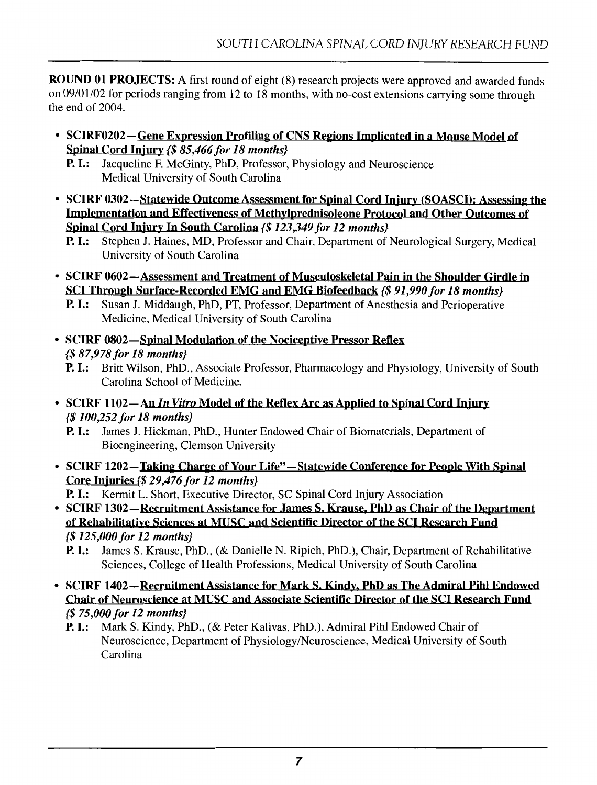ROUND 01 PROJECTS: A first round of eight (8) research projects were approved and awarded funds on 09/01/02 for periods ranging from 12 to 18 months, with no-cost extensions carrying some through the end of 2004.

- SCIRF0202 Gene Expression Profiling of CNS Regions Implicated in a Mouse Model of Spinal Cord Injury{\$ *85,466 for 18 months}* 
	- P. I.: Jacqueline F. McGinty, PhD, Professor, Physiology and Neuroscience Medical University of South Carolina
- SCIRF 0302—Statewide Outcome Assessment for Spinal Cord Injury (SOASCI): Assessing the Implementation and Effectiveness of Methylprednisoleone Protocol and Other Outcomes of Spinal Cord Injury In South Carolina{\$ *123,349 for 12 months}* 
	- P. I.: Stephen J. Haines, MD, Professor and Chair, Department of Neurological Surgery, Medical University of South Carolina
- SCIRF 0602 Assessment and Treatment of Musculoskeletal Pain in the Shoulder Girdle in SCI Through Surface-Recorded EMG and EMG Biofeedback{\$ *91,990 for 18 months}* 
	- P. I.: Susan J. Middaugh, PhD, PT, Professor, Department of Anesthesia and Perioperative Medicine, Medical University of South Carolina
- SCIRF 0802-Spinal Modulation of the Nociceptive Pressor Reflex {\$ *87,978 for 18 months}* 
	- P. I.: Britt Wilson, PhD., Associate Professor, Pharmacology and Physiology, University of South Carolina School of Medicine.
- SCIRF 1102-An *In Vitro* Model of the Reflex Arc as Applied to Spinal Cord Injury {\$ *100,252 for 18 months}* 
	- P. I.: James J. Hickman, PhD., Hunter Endowed Chair of Biomaterials, Department of Bioengineering, Clemson University
- SCIRF 1202 Taking Charge of Your Life" Statewide Conference for People With Spinal Core Injuries{\$ *29,476 for 12 months}*

P. I.: Kermit L. Short, Executive Director, SC Spinal Cord Injury Association

- SCIRF 1302 Recruitment Assistance for James S. Krause, PhD as Chair of the Department of Rehabilitative Sciences at MUSC and Scientific Director of the SCI Research Fund {\$ *125,000 for 12 months}* 
	- **P. I.:** James S. Krause, PhD., (& Danielle N. Ripich, PhD.), Chair, Department of Rehabilitative Sciences, College of Health Professions, Medical University of South Carolina
- SCIRF 1402 Recruitment Assistance for Mark S. Kindy, PhD as The Admiral Pihl Endowed Chair of Neuroscience at MUSC and Associate Scientific Director of the SCI Research Fund {\$ *75,000 for 12 months}* 
	- P. I.: Mark S. Kindy, PhD., (& Peter Kalivas, PhD.), Admiral Pihl Endowed Chair of Neuroscience, Department of Physiology/Neuroscience, Medical University of South Carolina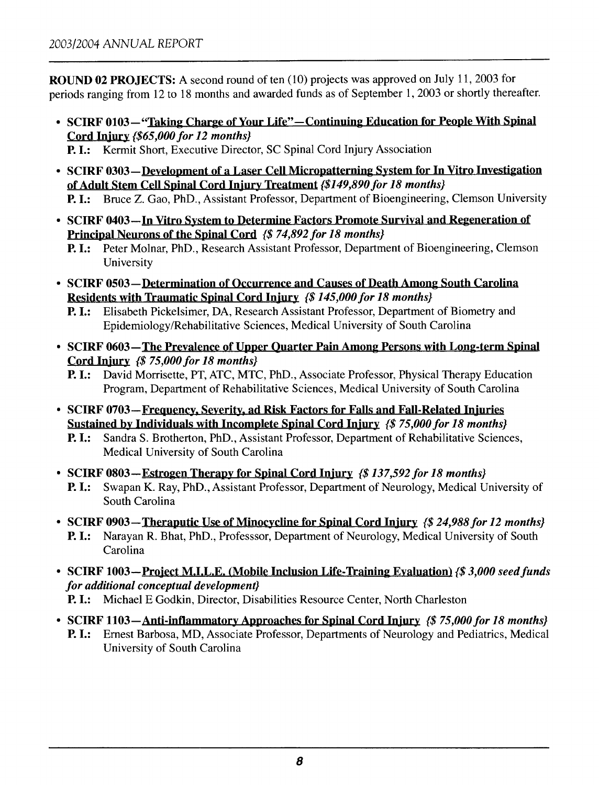ROUND 02 PROJECTS: A second round of ten (10) projects was approved on July 11, 2003 for periods ranging from 12 to 18 months and awarded funds as of September 1, 2003 or shortly thereafter.

• SCIRF 0103—"Taking Charge of Your Life"—Continuing Education for People With Spinal Cord Injury *{\$65,000 for 12 months}* 

P. I.: Kermit Short, Executive Director, SC Spinal Cord Injury Association

- SCIRF 0303 Development of a Laser Cell Micropatterning System for In Vitro Investigation of Adult Stem Cell Spinal Cord Injury Treatment *{\$149,890 for 18 months}*  P. I.: Bruce Z. Gao, PhD., Assistant Professor, Department of Bioengineering, Clemson University
- SCIRF 0403-In Vitro System to Determine Factors Promote Survival and Regeneration of Principal Neurons of the Spinal Cord *{\$ 74,892 for 18 months}* 
	- P. I.: Peter Molnar, PhD., Research Assistant Professor, Department of Bioengineering, Clemson University
- SCIRF 0503-Determination of Occurrence and Causes of Death Among South Carolina Residents with Traumatic Spinal Cord Injury *{\$ 145,000 for 18 months}* 
	- P. I.: Elisabeth Pickelsimer, DA, Research Assistant Professor, Department of Biometry and Epidemiology/Rehabilitative Sciences, Medical University of South Carolina
- SCIRF 0603 The Prevalence of Upper Quarter Pain Among Persons with Long-term Spinal Cord Injury *{\$ 75,000 for 18 months}* 
	- P. I.: David Morrisette, PT, ATC, MTC, PhD., Associate Professor, Physical Therapy Education Program, Department of Rehabilitative Sciences, Medical University of South Carolina
- SCIRF 0703-Frequency, Severity, ad Risk Factors for Falls and Fall-Related Injuries Sustained by Individuals with Incomplete Spinal Cord Injury *{\$ 75,000 for 18 months}* 
	- P. I.: Sandra S. Brotherton, PhD., Assistant Professor, Department of Rehabilitative Sciences, Medical University of South Carolina
- SCIRF 0803—Estrogen Therapy for Spinal Cord Injury *{\$137,592 for 18 months}* 
	- P. I.: Swapan K. Ray, PhD., Assistant Professor, Department of Neurology, Medical University of South Carolina
- SCIRF 0903—Theraputic Use of Minocycline for Spinal Cord Injury *{\$ 24,988 for 12 months}* 
	- P. I.: Narayan R. Bhat, PhD., Professsor, Department of Neurology, Medical University of South Carolina
- SCIRF 1003-Project M.I.L.E. (Mobile Inclusion Life-Training Evaluation) *{\$ 3 ,000 seed funds for additional conceptual development}* 
	- P. I.: Michael E Godkin, Director, Disabilities Resource Center, North Charleston
- SCIRF 1103—Anti-inflammatory Approaches for Spinal Cord Injury *{\$ 75,000 for 18 months}* P. I.: Ernest Barbosa, MD, Associate Professor, Departments of Neurology and Pediatrics, Medical University of South Carolina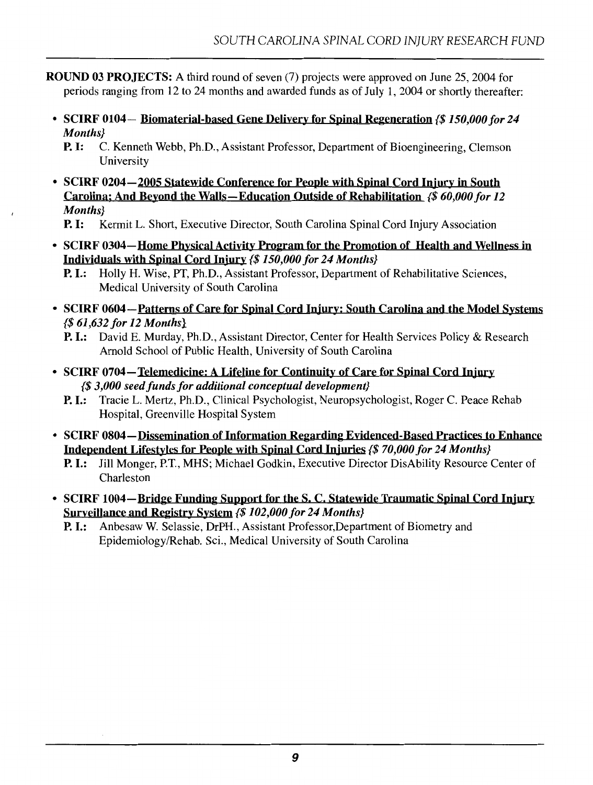- ROUND 03 PROJECTS: A third round of seven (7) projects were approved on June 25, 2004 for periods ranging from 12 to 24 months and awarded funds as of July 1, 2004 or shortly thereafter:
- SCIRF 0104 Biomaterial-based Gene Delivery for Spinal Regeneration {\$ 150,000 for 24 *Months}*

P. I: C. Kenneth Webb, Ph.D., Assistant Professor, Department of Bioengineering, Clemson University

• SCIRF 0204-2005 Statewide Conference for People with Spinal Cord Injury in South Carolina; And Beyond the Walls-Education Outside of Rehabilitation {\$ 60,000 for 12 *Months}* 

P. I: Kermit L. Short, Executive Director, South Carolina Spinal Cord Injury Association

• SCIRF 0304—Home Physical Activity Program for the Promotion of Health and Wellness in Individuals with Spinal Cord Injury {*\$ 150,000 for 24 Months*}

P. I.: Holly H. Wise, PT, Ph.D., Assistant Professor, Department of Rehabilitative Sciences, Medical University of South Carolina

- SCIRF 0604 Patterns of Care for Spinal Cord Injury: South Carolina and the Model Systems {\$ *61,632for 12 Months}* 
	- P. I.: David E. Murday, Ph.D., Assistant Director, Center for Health Services Policy & Research Arnold School of Public Health, University of South Carolina
- SCIRF 0704 Telemedicine: A Lifeline for Continuity of Care for Spinal Cord Injury {\$ *3,000 seed funds for additional conceptual development}* 
	- P. I.: Tracie L. Mertz, Ph.D., Clinical Psychologist, Neuropsychologist, Roger C. Peace Rehab Hospital, Greenville Hospital System
- SCIRF 0804 Dissemination of Information Regarding Evidenced-Based Practices to Enhance Independent Lifestyles for People with Spinal Cord Injuries{\$ *70,000 for 24 Months}* 
	- P. I.: Jill Monger, P.T., MHS; Michael Godkin, Executive Director DisAbility Resource Center of Charleston
- SCIRF 1004 Bridge Funding Support for the S. C. Statewide Traumatic Spinal Cord Injury Surveillance and Registry System{\$ *102,000 for 24 Months}* 
	- P. I.: Anbesaw W. Selassie, DrPH., Assistant Professor,Department of Biometry and Epidemiology/Rehab. Sci., Medical University of South Carolina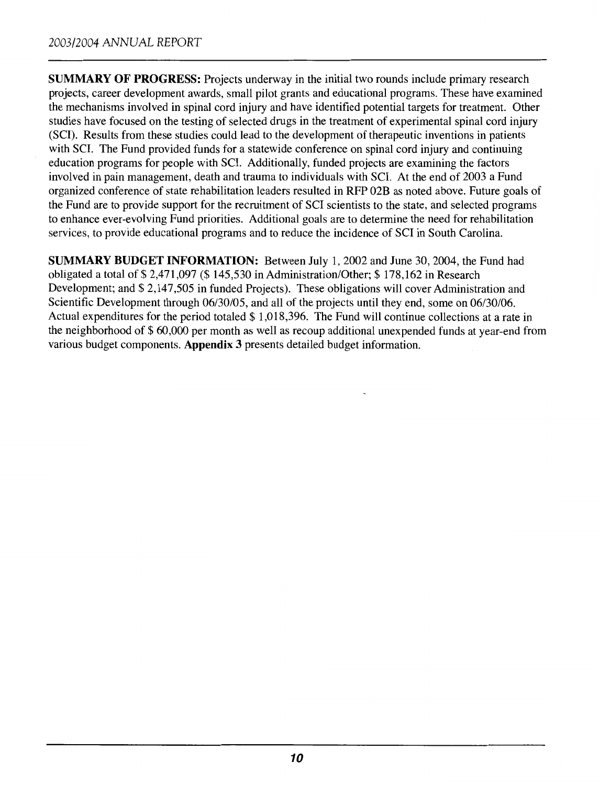**SUMMARY OF PROGRESS:** Projects underway in the initial two rounds include primary research projects, career development awards, small pilot grants and educational programs. These have examined the mechanisms involved in spinal cord injury and have identified potential targets for treatment. Other studies have focused on the testing of selected drugs in the treatment of experimental spinal cord injury (SCI). Results from these studies could lead to the development of therapeutic inventions in patients with SCI. The Fund provided funds for a statewide conference on spinal cord injury and continuing education programs for people with SCI. Additionally, funded projects are examining the factors involved in pain management, death and trauma to individuals with SCI. At the end of 2003 a Fund organized conference of state rehabilitation leaders resulted in RFP 02B as noted above. Future goals of the Fund are to provide support for the recruitment of SCI scientists to the state, and selected programs to enhance ever-evolving Fund priorities. Additional goals are to determine the need for rehabilitation services, to provide educational programs and to reduce the incidence of SCI in South Carolina.

**SUMMARY BUDGET INFORMATION:** Between July 1, 2002 and June 30, 2004, the Fund had obligated a total of \$2,471,097 (\$145,530 in Administration/Other; \$178,162 in Research Development; and \$2,147,505 in funded Projects). These obligations will cover Administration and Scientific Development through 06/30/05, and all of the projects until they end, some on 06/30/06. Actual expenditures for the period totaled \$ 1,018,396. The Fund will continue collections at a rate in the neighborhood of \$60,000 per month as well as recoup additional unexpended funds at year-end from various budget components. **Appendix 3** presents detailed budget information.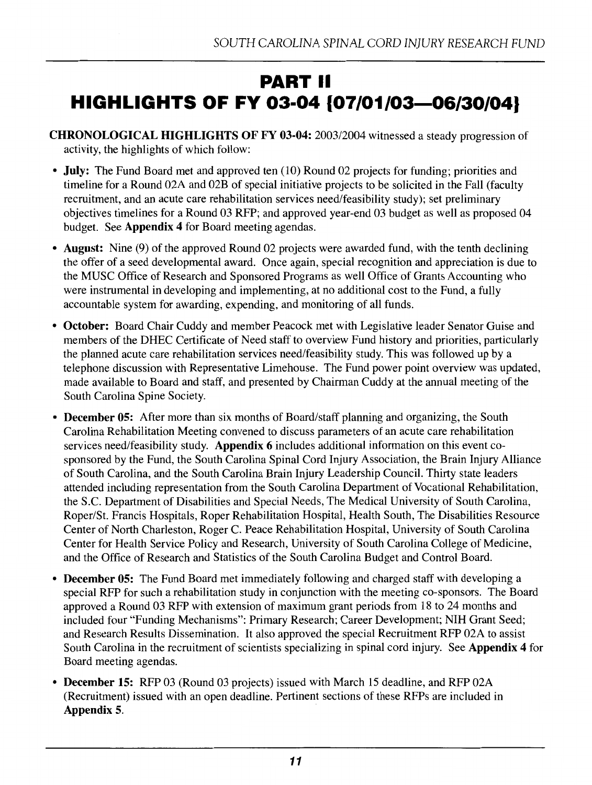# **PART II HIGHLIGHTS OF FY 03-04 {07/01/03-06/30/04}**

- **CHRONOLOGICAL HIGHLIGHTS OF FY 03-04:** 2003/2004 witnessed a steady progression of activity, the highlights of which follow:
- **July:** The Fund Board met and approved ten (10) Round 02 projects for funding; priorities and timeline for a Round 02A and 02B of special initiative projects to be solicited in the Fall (faculty recruitment, and an acute care rehabilitation services need/feasibility study); set preliminary objectives timelines for a Round 03 RFP; and approved year-end 03 budget as well as proposed 04 budget. See **Appendix 4** for Board meeting agendas.
- **August:** Nine (9) of the approved Round 02 projects were awarded fund, with the tenth declining the offer of a seed developmental award. Once again, special recognition and appreciation is due to the MUSC Office of Research and Sponsored Programs as well Office of Grants Accounting who were instrumental in developing and implementing, at no additional cost to the Fund, a fully accountable system for awarding, expending, and monitoring of all funds.
- **October:** Board Chair Cuddy and member Peacock met with Legislative leader Senator Guise and members of the DHEC Certificate of Need staff to overview Fund history and priorities, particularly the planned acute care rehabilitation services need/feasibility study. This was followed up by a telephone discussion with Representative Limehouse. The Fund power point overview was updated, made available to Board and staff, and presented by Chairman Cuddy at the annual meeting of the South Carolina Spine Society.
- **December 05:** After more than six months of Board/staff planning and organizing, the South Carolina Rehabilitation Meeting convened to discuss parameters of an acute care rehabilitation services need/feasibility study. **Appendix 6** includes additional information on this event cosponsored by the Fund, the South Carolina Spinal Cord Injury Association, the Brain Injury Alliance of South Carolina, and the South Carolina Brain Injury Leadership Council. Thirty state leaders attended including representation from the South Carolina Department of Vocational Rehabilitation, the S.C. Department of Disabilities and Special Needs, The Medical University of South Carolina, Roper/St. Francis Hospitals, Roper Rehabilitation Hospital, Health South, The Disabilities Resource Center of North Charleston, Roger C. Peace Rehabilitation Hospital, University of South Carolina Center for Health Service Policy and Research, University of South Carolina College of Medicine, and the Office of Research and Statistics of the South Carolina Budget and Control Board.
- **December 05:** The Fund Board met immediately following and charged staff with developing a special RFP for such a rehabilitation study in conjunction with the meeting co-sponsors. The Board approved a Round 03 RFP with extension of maximum grant periods from 18 to 24 months and included four "Funding Mechanisms": Primary Research; Career Development; NIH Grant Seed; and Research Results Dissemination. It also approved the special Recruitment RFP 02A to assist South Carolina in the recruitment of scientists specializing in spinal cord injury. See **Appendix 4** for Board meeting agendas.
- **December 15:** RFP 03 (Round 03 projects) issued with March 15 deadline, and RFP 02A (Recruitment) issued with an open deadline. Pertinent sections of these RFPs are included in **Appendix 5.**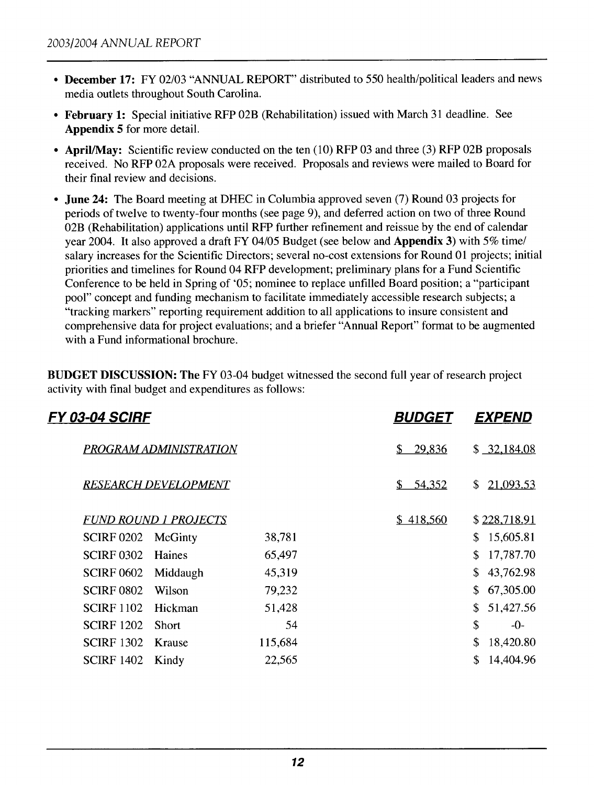- **December 17:** FY 02/03 "ANNUAL REPORT" distributed to 550 health/political leaders and news media outlets throughout South Carolina.
- **February 1:** Special initiative RFP 02B (Rehabilitation) issued with March 31 deadline. See **Appendix 5** for more detail.
- **April/May:** Scientific review conducted on the ten (10) RFP 03 and three (3) RFP 02B proposals received. No RFP 02A proposals were received. Proposals and reviews were mailed to Board for their final review and decisions.
- **June 24:** The Board meeting at DHEC in Columbia approved seven (7) Round 03 projects for periods of twelve to twenty-four months (see page 9), and deferred action on two of three Round 02B (Rehabilitation) applications until RFP further refinement and reissue by the end of calendar year 2004. It also approved a draft FY 04105 Budget (see below and **Appendix 3)** with 5% time/ salary increases for the Scientific Directors; several no-cost extensions for Round 01 projects; initial priorities and timelines for Round 04 RFP development; preliminary plans for a Fund Scientific Conference to be held in Spring of '05; nominee to replace unfilled Board position; a "participant pool" concept and funding mechanism to facilitate immediately accessible research subjects; a "tracking markers" reporting requirement addition to all applications to insure consistent and comprehensive data for project evaluations; and a briefer "Annual Report" format to be augmented with a Fund informational brochure.

**BUDGET DISCUSSION: The** FY 03-04 budget witnessed the second full year of research project activity with final budget and expenditures as follows:

| FY 03-04 SCIRF    |                              |         | <i><b>BUDGET</b></i> | <b>EXPEND</b>    |
|-------------------|------------------------------|---------|----------------------|------------------|
|                   | PROGRAM ADMINISTRATION       |         | 29,836<br>S.         | \$ 32,184.08     |
|                   | <b>RESEARCH DEVELOPMENT</b>  |         | 54,352<br>\$         | 21,093.53<br>\$. |
|                   | <b>FUND ROUND 1 PROJECTS</b> |         | \$418,560            | \$228,718.91     |
| <b>SCIRF 0202</b> | McGinty                      | 38,781  |                      | 15,605.81<br>\$. |
| <b>SCIRF 0302</b> | Haines                       | 65,497  |                      | 17,787.70<br>\$. |
| <b>SCIRF 0602</b> | Middaugh                     | 45,319  |                      | 43,762.98<br>\$  |
| <b>SCIRF 0802</b> | Wilson                       | 79,232  |                      | 67,305.00<br>\$  |
| <b>SCIRF 1102</b> | Hickman                      | 51,428  |                      | 51,427.56<br>\$  |
| <b>SCIRF 1202</b> | <b>Short</b>                 | 54      |                      | \$<br>$-0-$      |
| <b>SCIRF 1302</b> | Krause                       | 115,684 |                      | 18,420.80<br>\$  |
| <b>SCIRF 1402</b> | Kindy                        | 22,565  |                      | 14,404.96        |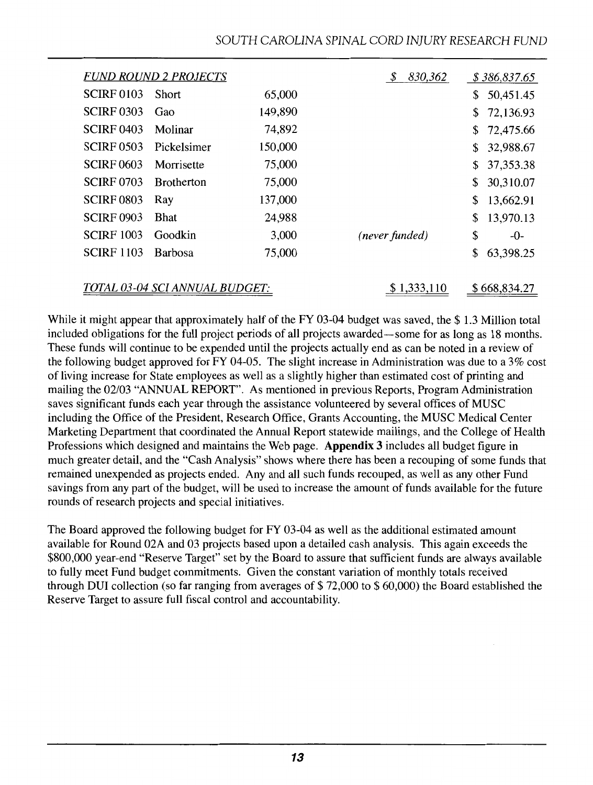|                   | <b>FUND ROUND 2 PROJECTS</b>   |         | 830,362<br>\$  | \$386,837.65      |
|-------------------|--------------------------------|---------|----------------|-------------------|
| <b>SCIRF 0103</b> | <b>Short</b>                   | 65,000  |                | 50,451.45<br>\$   |
| <b>SCIRF 0303</b> | Gao                            | 149,890 |                | 72,136.93<br>\$   |
| <b>SCIRF 0403</b> | Molinar                        | 74,892  |                | 72,475.66<br>\$   |
| <b>SCIRF 0503</b> | Pickelsimer                    | 150,000 |                | \$<br>32,988.67   |
| <b>SCIRF 0603</b> | Morrisette                     | 75,000  |                | \$<br>37, 353. 38 |
| <b>SCIRF 0703</b> | <b>Brotherton</b>              | 75,000  |                | \$<br>30,310.07   |
| <b>SCIRF 0803</b> | Ray                            | 137,000 |                | \$<br>13,662.91   |
| <b>SCIRF 0903</b> | <b>Bhat</b>                    | 24,988  |                | \$<br>13,970.13   |
| <b>SCIRF 1003</b> | Goodkin                        | 3,000   | (never funded) | \$<br>$-0-$       |
| <b>SCIRF 1103</b> | <b>Barbosa</b>                 | 75,000  |                | \$<br>63,398.25   |
|                   |                                |         |                |                   |
|                   | TOTAL 03-04 SCI ANNUAL BUDGET: |         | \$1,333,110    | \$668,834.27      |

While it might appear that approximately half of the FY 03-04 budget was saved, the \$ 1.3 Million total included obligations for the full project periods of all projects awarded-some for as long as 18 months. These funds will continue to be expended until the projects actually end as can be noted in a review of the following budget approved for FY 04-05. The slight increase in Administration was due to a  $3\%$  cost of living increase for State employees as well as a slightly higher than estimated cost of printing and mailing the 02/03 "ANNUAL REPORT". As mentioned in previous Reports, Program Administration saves significant funds each year through the assistance volunteered by several offices of MUSC including the Office of the President, Research Office, Grants Accounting, the MUSC Medical Center Marketing Department that coordinated the Annual Report statewide mailings, and the College of Health Professions which designed and maintains the Web page. **Appendix** 3 includes all budget figure in much greater detail, and the "Cash Analysis" shows where there has been a recouping of some funds that remained unexpended as projects ended. Any and all such funds recouped, as well as any other Fund savings from any part of the budget, will be used to increase the amount of funds available for the future rounds of research projects and special initiatives.

The Board approved the following budget for FY 03-04 as well as the additional estimated amount available for Round 02A and 03 projects based upon a detailed cash analysis. This again exceeds the \$800,000 year-end "Reserve Target" set by the Board to assure that sufficient funds are always available to fully meet Fund budget commitments. Given the constant variation of monthly totals received through DUI collection (so far ranging from averages of  $$72,000$  to  $$60,000$ ) the Board established the Reserve Target to assure full fiscal control and accountability.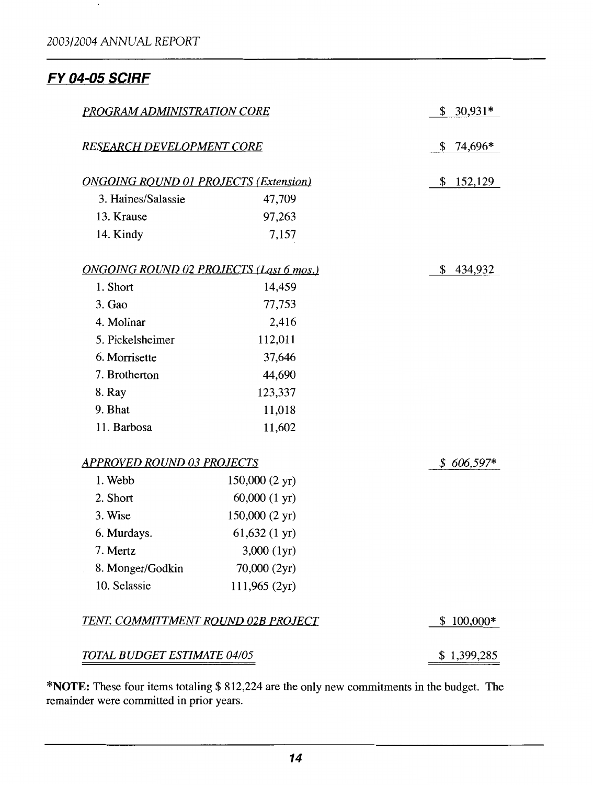### **FY 04-05 SC/RF**

 $\cdot$ 

| PROGRAM ADMINISTRATION CORE                  | $$30,931*$                                     |               |  |
|----------------------------------------------|------------------------------------------------|---------------|--|
| <b>RESEARCH DEVELOPMENT CORE</b>             | $$74,696*$                                     |               |  |
| <b>ONGOING ROUND 01 PROJECTS (Extension)</b> |                                                | \$<br>152,129 |  |
| 3. Haines/Salassie                           | 47,709                                         |               |  |
| 13. Krause                                   | 97,263                                         |               |  |
| 14. Kindy                                    | 7,157                                          |               |  |
|                                              | <b>ONGOING ROUND 02 PROJECTS (Last 6 mos.)</b> |               |  |
| 1. Short                                     | 14,459                                         |               |  |
| 3. Gao                                       | 77,753                                         |               |  |
| 4. Molinar                                   | 2,416                                          |               |  |
| 5. Pickelsheimer                             | 112,011                                        |               |  |
| 6. Morrisette                                | 37,646                                         |               |  |
| 7. Brotherton                                | 44,690                                         |               |  |
| 8. Ray                                       | 123,337                                        |               |  |
| 9. Bhat                                      | 11,018                                         |               |  |
| 11. Barbosa                                  | 11,602                                         |               |  |
| <b>APPROVED ROUND 03 PROJECTS</b>            |                                                | $$606,597*$   |  |
| 1. Webb                                      | 150,000 (2 yr)                                 |               |  |
| 2. Short                                     | $60,000$ (1 yr)                                |               |  |
| 3. Wise                                      | $150,000(2 \text{ yr})$                        |               |  |
| 6. Murdays.                                  | $61,632$ (1 yr)                                |               |  |
| 7. Mertz                                     | $3,000$ (1yr)                                  |               |  |
| 8. Monger/Godkin                             | 70,000(2yr)                                    |               |  |
| 10. Selassie                                 | $111,965$ (2yr)                                |               |  |
| <u>TENT. COMMITTMENT ROUND 02B PROJECT</u>   |                                                | $$100,000*$   |  |
| TOTAL BUDGET ESTIMATE 04/05                  |                                                | \$1,399,285   |  |

**\*NOTE:** These four items totaling\$ 812,224 are the only new commitments in the budget. The remainder were committed in prior years.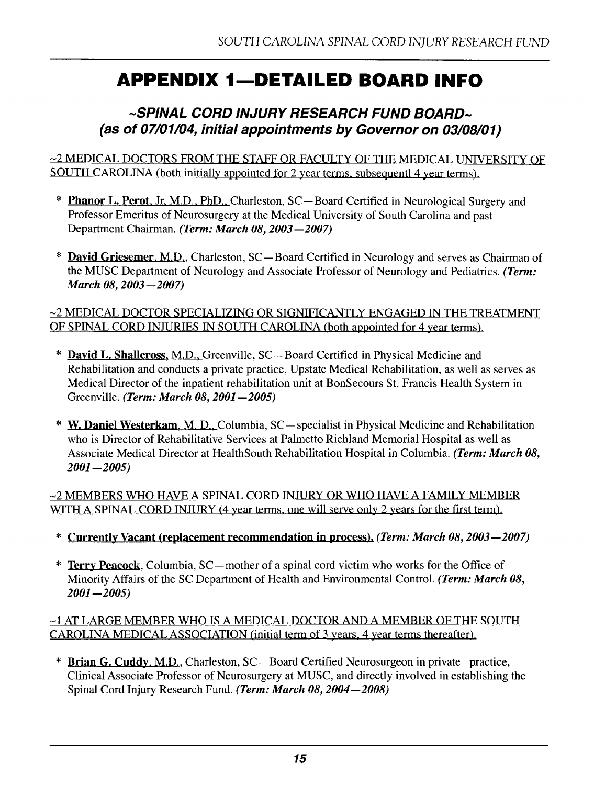# **APPENDIX 1-DETAILED BOARD INFO**

### **-SPINAL CORD INJURY RESEARCH FUND BOARD-** (as of 07/01/04, initial appointments by Governor on 03/08/01)

~2 MEDICAL DOCTORS FROM THE STAFF OR FACULTY OF THE MEDICAL UNIVERSITY OF SOUTH CAROLINA (both initially appointed for 2 year terms, subsequent 4 year terms).

- \* Phanor L. Perot, Jr. M.D., PhD., Charleston, SC—Board Certified in Neurological Surgery and Professor Emeritus of Neurosurgery at the Medical University of South Carolina and past Department Chairman. *(Term: March 08, 2003-2007)*
- \* David Griesemer, M.D., Charleston, SC Board Certified in Neurology and serves as Chairman of the MUSC Department of Neurology and Associate Professor of Neurology and Pediatrics. *(Term: March 08, 2003-2007)*

 $\sim$ 2 MEDICAL DOCTOR SPECIALIZING OR SIGNIFICANTLY ENGAGED IN THE TREATMENT OF SPINAL CORD INJURIES IN SOUTH CAROLINA (both appointed for 4 year terms).

- \* David L. Shallcross, M.D., Greenville, SC-Board Certified in Physical Medicine and Rehabilitation and conducts a private practice, Upstate Medical Rehabilitation, as well as serves as Medical Director of the inpatient rehabilitation unit at BonSecours St. Francis Health System in Greenville. *(Term: March 08, 2001-2005)*
- \* W. Daniel Westerkam, M. D., Columbia, SC specialist in Physical Medicine and Rehabilitation who is Director of Rehabilitative Services at Palmetto Richland Memorial Hospital as well as Associate Medical Director at HealthSouth Rehabilitation Hospital in Columbia. *(Term: March 08, 2001-2005)*

 $\sim$ 2 MEMBERS WHO HAVE A SPINAL CORD INJURY OR WHO HAVE A FAMILY MEMBER WITH A SPINAL CORD INJURY (4 year terms, one will serve only 2 years for the first term).

- \* Currently Vacant (replacement recommendation in process). *(Term.· March 08, 2003-2007)*
- \* Terry Peacock, Columbia, SC—mother of a spinal cord victim who works for the Office of Minority Affairs of the SC Department of Health and Environmental Control. *(Term: March 08, 2001-2005)*

 $\sim$ 1 AT LARGE MEMBER WHO IS A MEDICAL DOCTOR AND A MEMBER OF THE SOUTH CAROLINA MEDICAL ASSOCIATION (initial term of 3 years. 4 year terms thereafter).

\* Brian G. Cuddy. M.D., Charleston, SC-Board Certified Neurosurgeon in private practice, Clinical Associate Professor of Neurosurgery at MUSC, and directly involved in establishing the Spinal Cord Injury Research Fund. *(Term: March 08, 2004-2008)*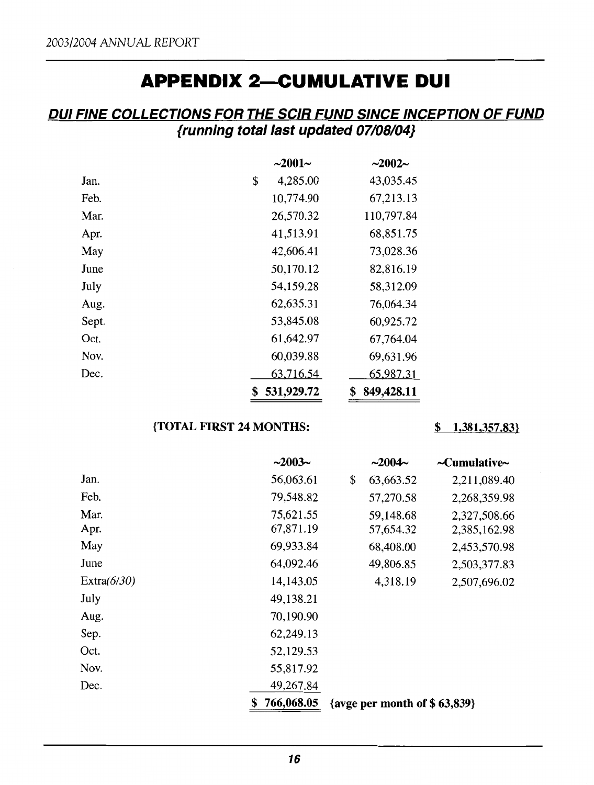# **APPENDIX 2-CUMULATIVE DUI**

### **DUI FINE COLLECTIONS FOR THE SCIR FUND SINCE INCEPTION OF FUND {running total last updated 07108104}**

|       | $\sim$ 2001 $\sim$ | ~2002~           |
|-------|--------------------|------------------|
| Jan.  | \$<br>4,285.00     | 43,035.45        |
| Feb.  | 10,774.90          | 67,213.13        |
| Mar.  | 26,570.32          | 110,797.84       |
| Apr.  | 41,513.91          | 68,851.75        |
| May   | 42,606.41          | 73,028.36        |
| June  | 50,170.12          | 82,816.19        |
| July  | 54,159.28          | 58,312.09        |
| Aug.  | 62,635.31          | 76,064.34        |
| Sept. | 53,845.08          | 60,925.72        |
| Oct.  | 61,642.97          | 67,764.04        |
| Nov.  | 60,039.88          | 69,631.96        |
| Dec.  | 63,716.54          | 65,987.31        |
|       | 531,929.72<br>\$   | \$<br>849,428.11 |

{TOTAL FIRST 24 MONTHS: \$ 1,381,357.83}

|                | ~2003~     | ~2004~                         | $\sim$ Cumulative $\sim$ |
|----------------|------------|--------------------------------|--------------------------|
| Jan.           | 56,063.61  | \$<br>63,663.52                | 2,211,089.40             |
| Feb.           | 79,548.82  | 57,270.58                      | 2,268,359.98             |
| Mar.           | 75,621.55  | 59,148.68                      | 2,327,508.66             |
| Apr.           | 67,871.19  | 57,654.32                      | 2,385,162.98             |
| May            | 69,933.84  | 68,408.00                      | 2,453,570.98             |
| June           | 64,092.46  | 49,806.85                      | 2,503,377.83             |
| Extra $(6/30)$ | 14,143.05  | 4,318.19                       | 2,507,696.02             |
| July           | 49,138.21  |                                |                          |
| Aug.           | 70,190.90  |                                |                          |
| Sep.           | 62,249.13  |                                |                          |
| Oct.           | 52,129.53  |                                |                          |
| Nov.           | 55,817.92  |                                |                          |
| Dec.           | 49,267.84  |                                |                          |
|                | 766,068.05 | {avge per month of $$63,839$ } |                          |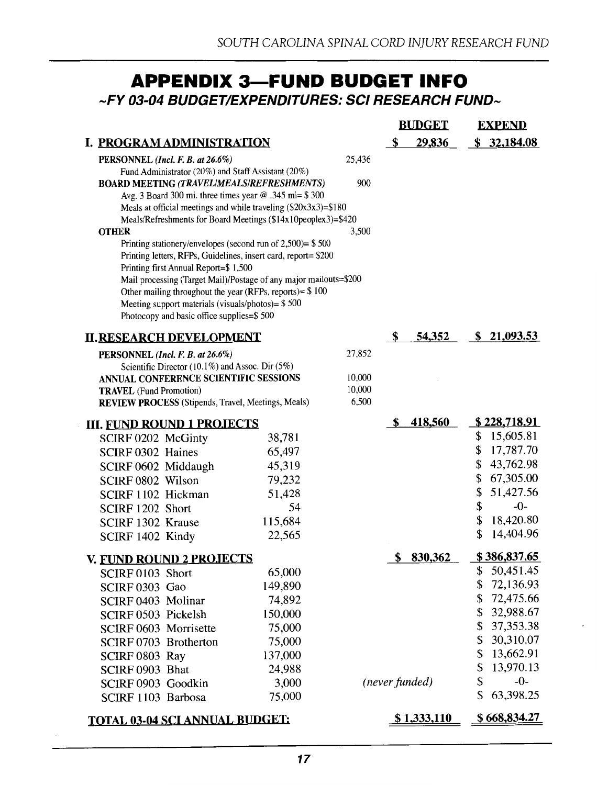### **APPENDIX 3-FUND BUDGET INFO**  ~FY 03-04 BUDGET/EXPENDITURES: SCI RESEARCH FUND~

|                                                                             |         |        | <b>BUDGET</b>  | <b>EXPEND</b>   |
|-----------------------------------------------------------------------------|---------|--------|----------------|-----------------|
| I. PROGRAM ADMINISTRATION                                                   |         |        | \$<br>29,836   | \$32,184.08     |
| PERSONNEL (Incl. F. B. at 26.6%)                                            |         | 25,436 |                |                 |
| Fund Administrator (20%) and Staff Assistant (20%)                          |         |        |                |                 |
| <b>BOARD MEETING (TRAVEL/MEALS/REFRESHMENTS)</b>                            |         | 900    |                |                 |
| Avg. 3 Board 300 mi. three times year @ .345 mi= \$300                      |         |        |                |                 |
| Meals at official meetings and while traveling $(\$20x3x3)=\$180$           |         |        |                |                 |
| Meals/Refreshments for Board Meetings (\$14x10peoplex3)=\$420               |         | 3,500  |                |                 |
| <b>OTHER</b><br>Printing stationery/envelopes (second run of $2,500=$ \$500 |         |        |                |                 |
| Printing letters, RFPs, Guidelines, insert card, report= \$200              |         |        |                |                 |
| Printing first Annual Report=\$ 1,500                                       |         |        |                |                 |
| Mail processing (Target Mail)/Postage of any major mailouts=\$200           |         |        |                |                 |
| Other mailing throughout the year (RFPs, reports)= \$100                    |         |        |                |                 |
| Meeting support materials (visuals/photos)= \$500                           |         |        |                |                 |
| Photocopy and basic office supplies=\$500                                   |         |        |                |                 |
| <b>II.RESEARCH DEVELOPMENT</b>                                              |         |        | \$<br>54,352   | \$21,093.53     |
| PERSONNEL (Incl. F. B. at 26.6%)                                            |         | 27,852 |                |                 |
| Scientific Director (10.1%) and Assoc. Dir (5%)                             |         |        |                |                 |
| ANNUAL CONFERENCE SCIENTIFIC SESSIONS                                       |         | 10,000 |                |                 |
| <b>TRAVEL</b> (Fund Promotion)                                              |         | 10,000 |                |                 |
| <b>REVIEW PROCESS</b> (Stipends, Travel, Meetings, Meals)                   |         | 6,500  |                |                 |
| <b>III. FUND ROUND 1 PROJECTS</b>                                           |         |        | \$<br>418,560  | \$228,718.91    |
| SCIRF 0202 McGinty                                                          | 38,781  |        |                | \$<br>15,605.81 |
| SCIRF 0302 Haines                                                           | 65,497  |        |                | \$<br>17,787.70 |
| SCIRF 0602 Middaugh                                                         | 45,319  |        |                | \$<br>43,762.98 |
| SCIRF 0802 Wilson                                                           | 79,232  |        |                | \$<br>67,305.00 |
| SCIRF 1102 Hickman                                                          | 51,428  |        |                | \$<br>51,427.56 |
| SCIRF 1202 Short                                                            | 54      |        |                | \$<br>$-0-$     |
| SCIRF 1302 Krause                                                           | 115,684 |        |                | \$<br>18,420.80 |
| SCIRF 1402 Kindy                                                            | 22,565  |        |                | \$<br>14,404.96 |
|                                                                             |         |        | \$<br>830,362  | \$386,837.65    |
| <b>V. FUND ROUND 2 PROJECTS</b><br>SCIRF 0103 Short                         | 65,000  |        |                | \$<br>50,451.45 |
|                                                                             | 149,890 |        |                | \$<br>72,136.93 |
| SCIRF 0303 Gao                                                              | 74,892  |        |                | \$72,475.66     |
| SCIRF 0403 Molinar<br>SCIRF 0503 Pickelsh                                   | 150,000 |        |                | \$32,988.67     |
| SCIRF 0603 Morrisette                                                       | 75,000  |        |                | \$37,353.38     |
|                                                                             | 75,000  |        |                | \$<br>30,310.07 |
| SCIRF 0703 Brotherton                                                       | 137,000 |        |                | \$<br>13,662.91 |
| SCIRF 0803 Ray<br>SCIRF 0903 Bhat                                           | 24,988  |        |                | \$<br>13,970.13 |
| SCIRF 0903 Goodkin                                                          | 3,000   |        | (never funded) | \$<br>$-0-$     |
| SCIRF 1103 Barbosa                                                          | 75,000  |        |                | \$<br>63,398.25 |
|                                                                             |         |        |                |                 |
| <b>TOTAL 03-04 SCI ANNUAL BUDGET:</b>                                       |         |        | \$1,333,110    | \$668,834.27    |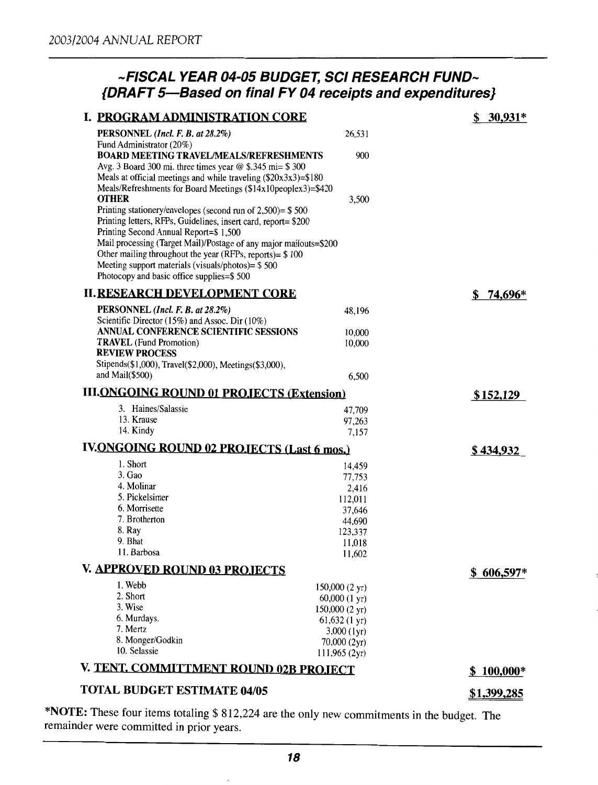### -FISCAL YEAR 04-05 BUDGET, SCI RESEARCH FUND- {DRAFT 5-Based on final FY 04 receipts and expenditures}

| I. PROGRAM ADMINISTRATION CORE                                                                                                                                                                                                                                                                                                                                                                           |                              | $$30,931*$  |
|----------------------------------------------------------------------------------------------------------------------------------------------------------------------------------------------------------------------------------------------------------------------------------------------------------------------------------------------------------------------------------------------------------|------------------------------|-------------|
| PERSONNEL (Incl. F. B. at 28.2%)                                                                                                                                                                                                                                                                                                                                                                         | 26,531                       |             |
| Fund Administrator (20%)<br><b>BOARD MEETING TRAVEL/MEALS/REFRESHMENTS</b><br>Avg. 3 Board 300 mi. three times year $@$ \$.345 mi= \$300<br>Meals at official meetings and while traveling $(\$20x3x3)=\$180$<br>Meals/Refreshments for Board Meetings (\$14x10peoplex3)=\$420                                                                                                                           | 900                          |             |
| <b>OTHER</b>                                                                                                                                                                                                                                                                                                                                                                                             | 3,500                        |             |
| Printing stationery/envelopes (second run of 2,500)= \$500<br>Printing letters, RFPs, Guidelines, insert card, report= \$200<br>Printing Second Annual Report=\$1,500<br>Mail processing (Target Mail)/Postage of any major mailouts=\$200<br>Other mailing throughout the year (RFPs, reports)= \$100<br>Meeting support materials (visuals/photos)= \$500<br>Photocopy and basic office supplies=\$500 |                              |             |
| <b>II.RESEARCH DEVELOPMENT CORE</b>                                                                                                                                                                                                                                                                                                                                                                      |                              | $$74,696*$  |
| PERSONNEL (Incl. F. B. at 28.2%)<br>Scientific Director (15%) and Assoc. Dir (10%)                                                                                                                                                                                                                                                                                                                       | 48,196                       |             |
| ANNUAL CONFERENCE SCIENTIFIC SESSIONS                                                                                                                                                                                                                                                                                                                                                                    | 10,000                       |             |
| <b>TRAVEL</b> (Fund Promotion)<br><b>REVIEW PROCESS</b>                                                                                                                                                                                                                                                                                                                                                  | 10,000                       |             |
| Stipends(\$1,000), Travel(\$2,000), Meetings(\$3,000),                                                                                                                                                                                                                                                                                                                                                   |                              |             |
| and Mail(\$500)                                                                                                                                                                                                                                                                                                                                                                                          | 6,500                        |             |
| <b>III.ONGOING ROUND 01 PROJECTS (Extension)</b>                                                                                                                                                                                                                                                                                                                                                         |                              | \$152,129   |
| 3. Haines/Salassie                                                                                                                                                                                                                                                                                                                                                                                       | 47,709                       |             |
| 13. Krause<br>14. Kindy                                                                                                                                                                                                                                                                                                                                                                                  | 97,263<br>7,157              |             |
| <b>IV.ONGOING ROUND 02 PROJECTS (Last 6 mos.)</b>                                                                                                                                                                                                                                                                                                                                                        |                              | \$434,932   |
| 1. Short                                                                                                                                                                                                                                                                                                                                                                                                 | 14,459                       |             |
| 3. Gao                                                                                                                                                                                                                                                                                                                                                                                                   | 77,753                       |             |
| 4. Molinar                                                                                                                                                                                                                                                                                                                                                                                               | 2,416                        |             |
| 5. Pickelsimer                                                                                                                                                                                                                                                                                                                                                                                           | 112,011                      |             |
| 6. Morrisette                                                                                                                                                                                                                                                                                                                                                                                            | 37,646                       |             |
| 7. Brotherton                                                                                                                                                                                                                                                                                                                                                                                            | 44,690                       |             |
| 8. Ray                                                                                                                                                                                                                                                                                                                                                                                                   | 123,337                      |             |
| 9. Bhat<br>11. Barbosa                                                                                                                                                                                                                                                                                                                                                                                   | 11,018                       |             |
|                                                                                                                                                                                                                                                                                                                                                                                                          | 11,602                       |             |
| <b>V. APPROVED ROUND 03 PROJECTS</b>                                                                                                                                                                                                                                                                                                                                                                     |                              | $$606,597*$ |
| 1. Webb                                                                                                                                                                                                                                                                                                                                                                                                  | $150,000(2 \text{ yr})$      |             |
| 2. Short                                                                                                                                                                                                                                                                                                                                                                                                 | $60,000$ (1 yr)              |             |
| 3. Wise                                                                                                                                                                                                                                                                                                                                                                                                  | 150,000 (2 yr)               |             |
| 6. Murdays.<br>7. Mertz                                                                                                                                                                                                                                                                                                                                                                                  | 61,632 (1 yr)                |             |
| 8. Monger/Godkin                                                                                                                                                                                                                                                                                                                                                                                         | $3,000$ (1yr)<br>70,000(2yr) |             |
| 10. Selassie                                                                                                                                                                                                                                                                                                                                                                                             | 111,965 (2yr)                |             |
|                                                                                                                                                                                                                                                                                                                                                                                                          |                              |             |
| V. TENT. COMMITTMENT ROUND 02B PROJECT                                                                                                                                                                                                                                                                                                                                                                   |                              | $$100,000*$ |

### TOTAL BUDGET ESTIMATE 04/05

\*NOTE: These four items totaling\$ 812,224 are the only new commitments in the budget. The remainder were committed in prior years.

\$1,399,285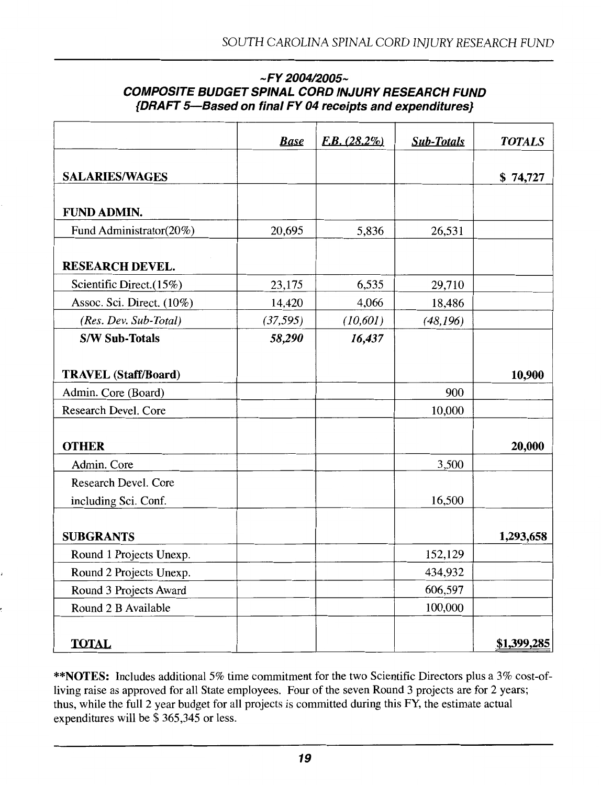### $-FY 2004/2005 -$ COMPOSITE BUDGET SPINAL CORD INJURY RESEARCH FUND {DRAFT 5-Based on final FY 04 receipts and expenditures}

|                             | <b>Base</b> | $F.B. (28.2\%)$ | <b>Sub-Totals</b> | <b>TOTALS</b> |
|-----------------------------|-------------|-----------------|-------------------|---------------|
| <b>SALARIES/WAGES</b>       |             |                 |                   | \$74,727      |
| <b>FUND ADMIN.</b>          |             |                 |                   |               |
| Fund Administrator(20%)     | 20,695      | 5,836           | 26,531            |               |
| <b>RESEARCH DEVEL.</b>      |             |                 |                   |               |
| Scientific Direct.(15%)     | 23,175      | 6,535           | 29,710            |               |
| Assoc. Sci. Direct. (10%)   | 14,420      | 4,066           | 18,486            |               |
| (Res. Dev. Sub-Total)       | (37, 595)   | (10, 601)       | (48, 196)         |               |
| <b>S/W Sub-Totals</b>       | 58,290      | 16,437          |                   |               |
| <b>TRAVEL</b> (Staff/Board) |             |                 |                   | 10,900        |
| Admin. Core (Board)         |             |                 | 900               |               |
| Research Devel. Core        |             |                 | 10,000            |               |
| <b>OTHER</b>                |             |                 |                   | 20,000        |
| Admin. Core                 |             |                 | 3,500             |               |
| Research Devel. Core        |             |                 |                   |               |
| including Sci. Conf.        |             |                 | 16,500            |               |
| <b>SUBGRANTS</b>            |             |                 |                   | 1,293,658     |
| Round 1 Projects Unexp.     |             |                 | 152,129           |               |
| Round 2 Projects Unexp.     |             |                 | 434,932           |               |
| Round 3 Projects Award      |             |                 | 606,597           |               |
| Round 2 B Available         |             |                 | 100,000           |               |
| <b>TOTAL</b>                |             |                 |                   | \$1,399,285   |

\*\*NOTES: Includes additional 5% time commitment for the two Scientific Directors plus a 3% cost-ofliving raise as approved for all State employees. Four of the seven Round 3 projects are for 2 years; thus, while the full 2 year budget for all projects is committed during this FY, the estimate actual expenditures will be \$ 365,345 or less.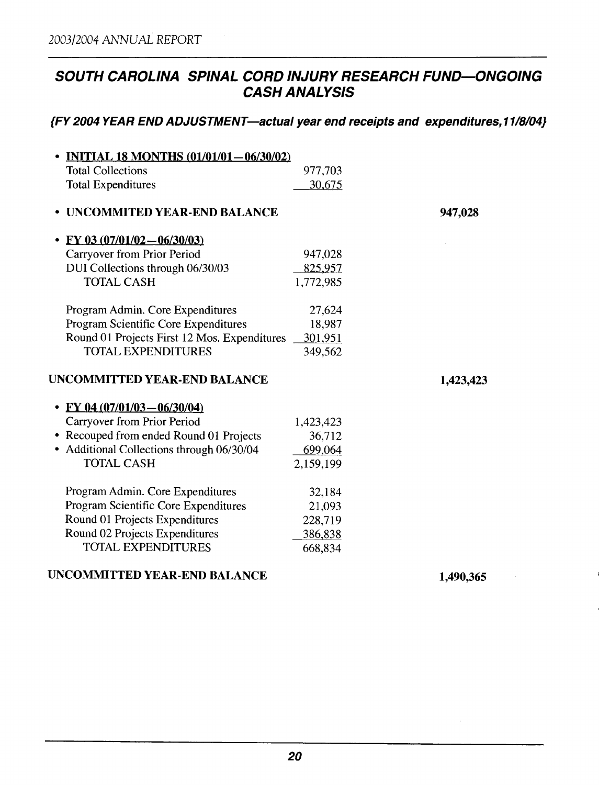### SOUTH CAROLINA SPINAL CORD INJURY RESEARCH FUND-ONGOING CASH ANALYSIS

### {FY 2004 YEAR END ADJUSTMENT-actual year end receipts and expenditures, 1118104}

| • INITIAL 18 MONTHS (01/01/01 - 06/30/02)                                     |                   |           |
|-------------------------------------------------------------------------------|-------------------|-----------|
| <b>Total Collections</b>                                                      | 977,703           |           |
| <b>Total Expenditures</b>                                                     | 30,675            |           |
| <b>UNCOMMITED YEAR-END BALANCE</b>                                            |                   | 947,028   |
| • FY 03 $(07/01/02 - 06/30/03)$                                               |                   |           |
| <b>Carryover from Prior Period</b>                                            | 947,028           |           |
| DUI Collections through 06/30/03                                              | 825,957           |           |
| <b>TOTAL CASH</b>                                                             | 1,772,985         |           |
| Program Admin. Core Expenditures                                              | 27,624            |           |
| Program Scientific Core Expenditures                                          | 18,987            |           |
| Round 01 Projects First 12 Mos. Expenditures                                  | 301,951           |           |
| <b>TOTAL EXPENDITURES</b>                                                     | 349,562           |           |
|                                                                               |                   |           |
| <b>UNCOMMITTED YEAR-END BALANCE</b>                                           |                   | 1,423,423 |
| • FY 04 $(07/01/03 - 06/30/04)$                                               |                   |           |
|                                                                               | 1,423,423         |           |
| <b>Carryover from Prior Period</b><br>• Recouped from ended Round 01 Projects | 36,712            |           |
|                                                                               | 699,064           |           |
| • Additional Collections through 06/30/04<br><b>TOTAL CASH</b>                | 2,159,199         |           |
|                                                                               |                   |           |
| Program Admin. Core Expenditures                                              | 32,184            |           |
| Program Scientific Core Expenditures<br>Round 01 Projects Expenditures        | 21,093<br>228,719 |           |
| Round 02 Projects Expenditures                                                | 386,838           |           |
| <b>TOTAL EXPENDITURES</b>                                                     | 668,834           |           |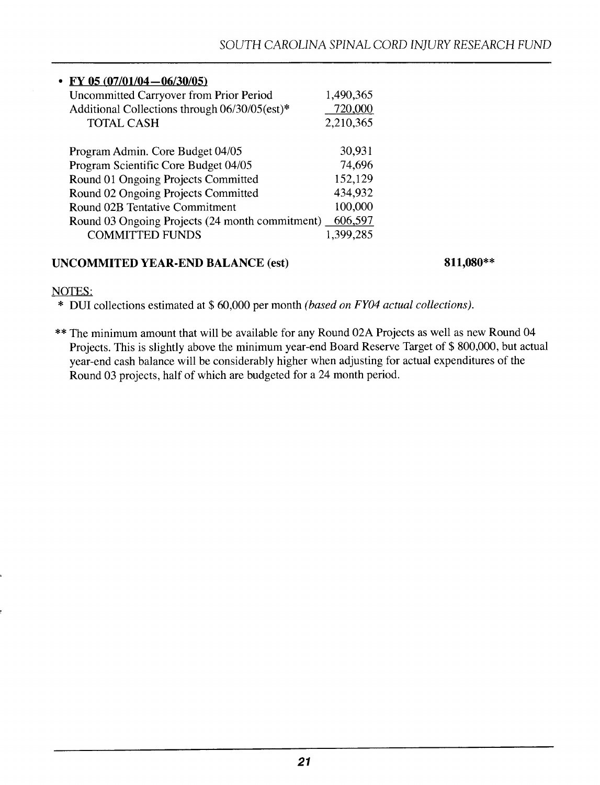| • FY 05 $(07/01/04 - 06/30/05)$                 |           |
|-------------------------------------------------|-----------|
| <b>Uncommitted Carryover from Prior Period</b>  | 1,490,365 |
| Additional Collections through 06/30/05(est)*   | 720,000   |
| <b>TOTAL CASH</b>                               | 2,210,365 |
|                                                 |           |
| Program Admin. Core Budget 04/05                | 30,931    |
| Program Scientific Core Budget 04/05            | 74,696    |
| Round 01 Ongoing Projects Committed             | 152,129   |
| Round 02 Ongoing Projects Committed             | 434,932   |
| Round 02B Tentative Commitment                  | 100,000   |
| Round 03 Ongoing Projects (24 month commitment) | 606,597   |
| <b>COMMITTED FUNDS</b>                          | 1.399.285 |

### **UNCOMMITED YEAR-END BALANCE (est)**

**811,080\*\*** 

### NOTES:

\* DUI collections estimated at\$ 60,000 per month *(based on FY04 actual collections).* 

\*\* The minimum amount that will be available for any Round 02A Projects as well as new Round 04 Projects. This is slightly above the minimum year-end Board Reserve Target of \$ 800,000, but actual year-end cash balance will be considerably higher when adjusting for actual expenditures of the Round 03 projects, half of which are budgeted for a 24 month period.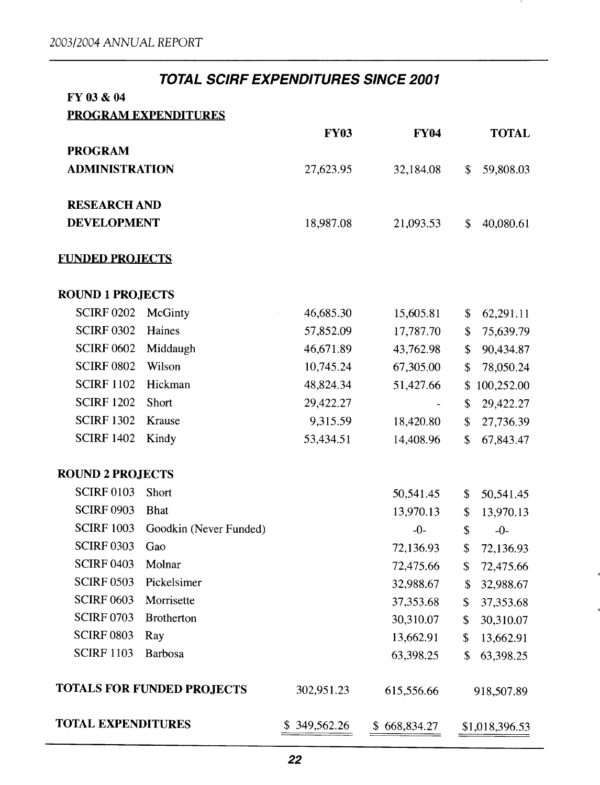### **TOTAL SC/RF EXPENDITURES SINCE 2001**

 $\sim$ 

### **FY03 & 04 PROGRAM EXPENDITURES**

|                                        |                        | <b>FY03</b>  | <b>FY04</b>  | <b>TOTAL</b>     |
|----------------------------------------|------------------------|--------------|--------------|------------------|
| <b>PROGRAM</b>                         |                        |              |              |                  |
| <b>ADMINISTRATION</b>                  |                        | 27,623.95    | 32,184.08    | \$<br>59,808.03  |
| <b>RESEARCH AND</b>                    |                        |              |              |                  |
| <b>DEVELOPMENT</b>                     |                        | 18,987.08    | 21,093.53    | \$<br>40,080.61  |
| <b>FUNDED PROJECTS</b>                 |                        |              |              |                  |
| <b>ROUND 1 PROJECTS</b>                |                        |              |              |                  |
| <b>SCIRF 0202</b><br>McGinty           |                        | 46,685.30    | 15,605.81    | \$<br>62,291.11  |
| <b>SCIRF 0302</b><br>Haines            |                        | 57,852.09    | 17,787.70    | \$<br>75,639.79  |
| <b>SCIRF 0602</b><br>Middaugh          |                        | 46,671.89    | 43,762.98    | \$<br>90,434.87  |
| <b>SCIRF 0802</b><br>Wilson            |                        | 10,745.24    | 67,305.00    | \$<br>78,050.24  |
| <b>SCIRF 1102</b><br>Hickman           |                        | 48,824.34    | 51,427.66    | \$<br>100,252.00 |
| <b>SCIRF 1202</b><br>Short             |                        | 29,422.27    |              | \$<br>29,422.27  |
| <b>SCIRF 1302</b><br>Krause            |                        | 9,315.59     | 18,420.80    | \$<br>27,736.39  |
| <b>SCIRF 1402</b><br>Kindy             |                        | 53,434.51    | 14,408.96    | \$<br>67,843.47  |
| <b>ROUND 2 PROJECTS</b>                |                        |              |              |                  |
| <b>SCIRF 0103</b><br>Short             |                        |              | 50,541.45    | \$<br>50,541.45  |
| <b>SCIRF 0903</b><br><b>Bhat</b>       |                        |              | 13,970.13    | \$<br>13,970.13  |
| <b>SCIRF 1003</b>                      | Goodkin (Never Funded) |              | $-0-$        | \$<br>$-0-$      |
| <b>SCIRF 0303</b><br>Gao               |                        |              | 72,136.93    | \$<br>72,136.93  |
| <b>SCIRF 0403</b><br>Molnar            |                        |              | 72,475.66    | \$<br>72,475.66  |
| <b>SCIRF 0503</b><br>Pickelsimer       |                        |              | 32,988.67    | \$<br>32,988.67  |
| <b>SCIRF 0603</b><br>Morrisette        |                        |              | 37,353.68    | \$<br>37,353.68  |
| <b>SCIRF 0703</b><br><b>Brotherton</b> |                        |              | 30,310.07    | \$<br>30,310.07  |
| <b>SCIRF 0803</b><br>Ray               |                        |              | 13,662.91    | \$<br>13,662.91  |
| <b>SCIRF 1103</b><br><b>Barbosa</b>    |                        |              | 63,398.25    | \$<br>63,398.25  |
| <b>TOTALS FOR FUNDED PROJECTS</b>      |                        | 302,951.23   | 615,556.66   | 918,507.89       |
| <b>TOTAL EXPENDITURES</b>              |                        | \$349,562.26 | \$668,834.27 | \$1,018,396.53   |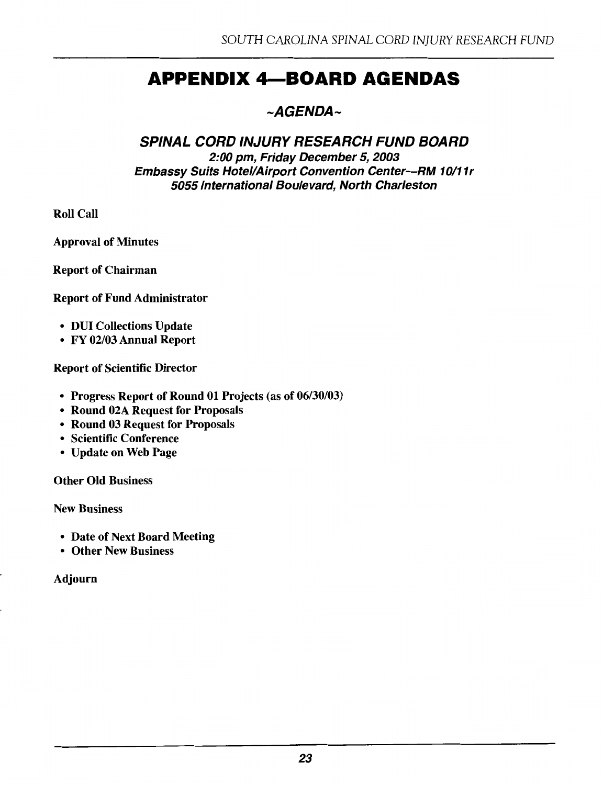# **APPENDIX 4-BOARD AGENDAS**

### $~\sim$ AGENDA $\sim$

### SPINAL CORD INJURY RESEARCH FUND BOARD 2:00 pm, Friday December 5, 2003 Embassy Suits Hotel/Airport Convention Center--RM 10/11r 5055 International Boulevard, North Charleston

Roll Call

Approval of Minutes

Report of Chairman

Report of Fund Administrator

- DUI Collections Update
- FY 02/03 Annual Report

Report of Scientific Director

- Progress Report of Round 01 Projects (as of 06/30/03)
- Round 02A Request for Proposals
- Round 03 Request for Proposals
- Scientific Conference
- Update on Web Page

Other Old Business

New Business

- Date of Next Board Meeting
- Other New Business

Adjourn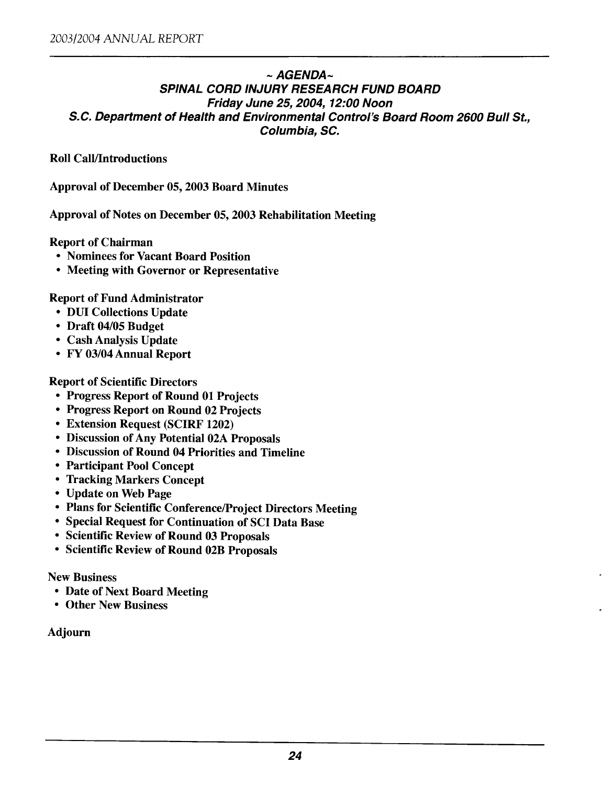### $~\sim$  AGENDA $\sim$ SPINAL CORD INJURY RESEARCH FUND BOARD Friday June 25, 2004, 12:00 Noon S.C. Department of Health and Environmental Control's Board Room 2600 Bull St., Columbia, SC.

Roll Call/Introductions

Approval of December 05, 2003 Board Minutes

Approval of Notes on December 05, 2003 Rehabilitation Meeting

Report of Chairman

- Nominees for Vacant Board Position
- Meeting with Governor or Representative

Report of Fund Administrator

- DUI Collections Update
- Draft 04/05 Budget
- Cash Analysis Update
- FY 03/04 Annual Report

Report of Scientific Directors

- Progress Report of Round 01 Projects
- Progress Report on Round 02 Projects
- Extension Request (SCIRF 1202)
- Discussion of Any Potential 02A Proposals
- Discussion of Round 04 Priorities and Timeline
- Participant Pool Concept
- Tracking Markers Concept
- Update on Web Page
- Plans for Scientific Conference/Project Directors Meeting
- Special Request for Continuation of SCI Data Base
- Scientific Review of Round 03 Proposals
- Scientific Review of Round 02B Proposals

New Business

- Date of Next Board Meeting
- Other New Business

#### Adjourn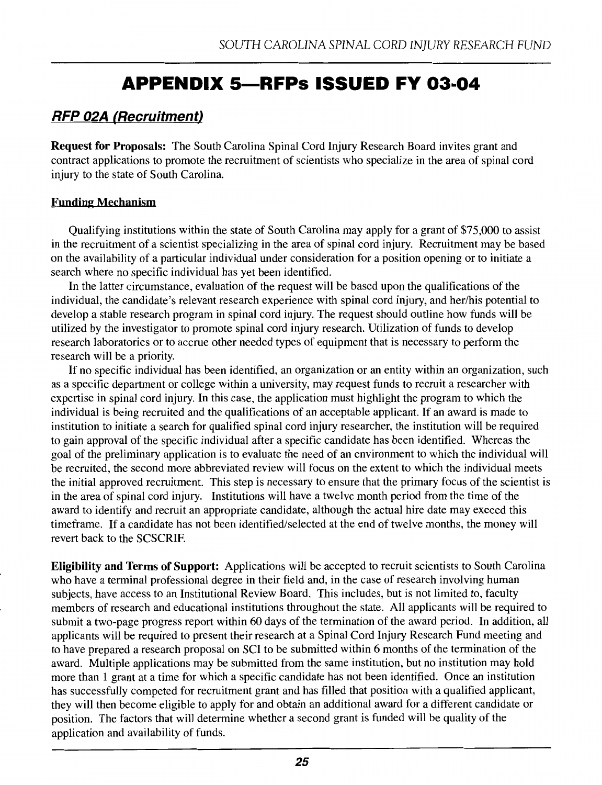# **APPENDIX 5-RFPs ISSUED FY 03-04**

### **RFP 02A (Recruitment)**

Request for Proposals: The South Carolina Spinal Cord Injury Research Board invites grant and contract applications to promote the recruitment of scientists who specialize in the area of spinal cord injury to the state of South Carolina.

### Funding Mechanism

Qualifying institutions within the state of South Carolina may apply for a grant of \$75,000 to assist in the recruitment of a scientist specializing in the area of spinal cord injury. Recruitment may be based on the availability of a particular individual under consideration for a position opening or to initiate a search where no specific individual has yet been identified.

In the latter circumstance, evaluation of the request will be based upon the qualifications of the individual, the candidate's relevant research experience with spinal cord injury, and her/his potential to develop a stable research program in spinal cord injury. The request should outline how funds will be utilized by the investigator to promote spinal cord injury research. Utilization of funds to develop research laboratories or to accrue other needed types of equipment that is necessary to perform the research will be a priority.

If no specific individual has been identified, an organization or an entity within an organization, such as a specific department or college within a university, may request funds to recruit a researcher with expertise in spinal cord injury. In this case, the application must highlight the program to which the individual is being recruited and the qualifications of an acceptable applicant. If an award is made to institution to initiate a search for qualified spinal cord injury researcher, the institution will be required to gain approval of the specific individual after a specific candidate has been identified. Whereas the goal of the preliminary application is to evaluate the need of an environment to which the individual will be recruited, the second more abbreviated review will focus on the extent to which the individual meets the initial approved recruitment. This step is necessary to ensure that the primary focus of the scientist is in the area of spinal cord injury. Institutions will have a twelve month period from the time of the award to identify and recruit an appropriate candidate, although the actual hire date may exceed this timeframe. If a candidate has not been identified/selected at the end of twelve months, the money will revert back to the SCSCRIF.

Eligibility and Terms of Support: Applications will be accepted to recruit scientists to South Carolina who have a terminal professional degree in their field and, in the case of research involving human subjects, have access to an Institutional Review Board. This includes, but is not limited to, faculty members of research and educational institutions throughout the state. All applicants will be required to submit a two-page progress report within 60 days of the termination of the award period. In addition, all applicants will be required to present their research at a Spinal Cord Injury Research Fund meeting and to have prepared a research proposal on SCI to be submitted within 6 months of the termination of the award. Multiple applications may be submitted from the same institution, but no institution may hold more than 1 grant at a time for which a specific candidate has not been identified. Once an institution has successfully competed for recruitment grant and has filled that position with a qualified applicant, they will then become eligible to apply for and obtain an additional award for a different candidate or position. The factors that will determine whether a second grant is funded will be quality of the application and availability of funds.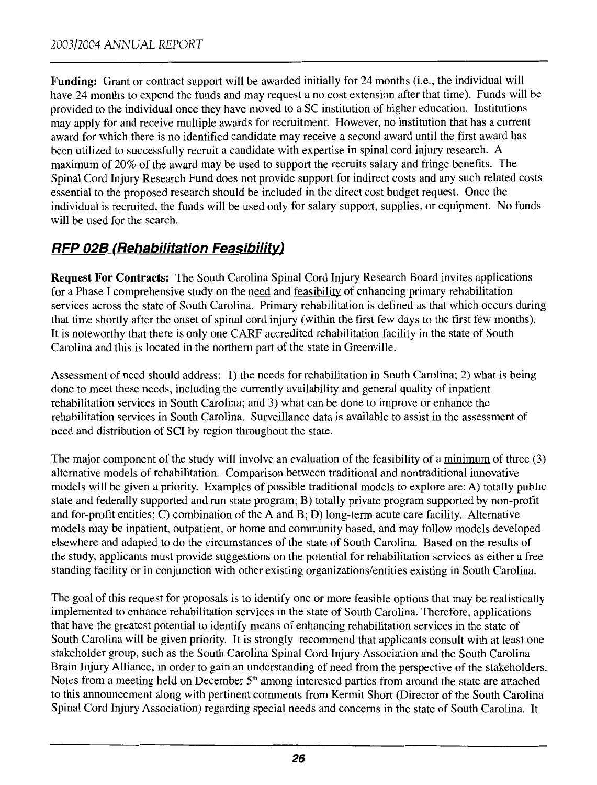**Funding:** Grant or contract support will be awarded initially for 24 months (i.e., the individual will have 24 months to expend the funds and may request a no cost extension after that time). Funds will be provided to the individual once they have moved to a SC institution of higher education. Institutions may apply for and receive multiple awards for recruitment. However, no institution that has a current award for which there is no identified candidate may receive a second award until the first award has been utilized to successfully recruit a candidate with expertise in spinal cord injury research. A maximum of 20% of the award may be used to support the recruits salary and fringe benefits. The Spinal Cord Injury Research Fund does not provide support for indirect costs and any such related costs essential to the proposed research should be included in the direct cost budget request. Once the individual is recruited, the funds will be used only for salary support, supplies, or equipment. No funds will be used for the search.

### **RFP 028 (Rehabilitation Feasibility)**

**Request For Contracts:** The South Carolina Spinal Cord Injury Research Board invites applications for a Phase I comprehensive study on the need and feasibility of enhancing primary rehabilitation services across the state of South Carolina. Primary rehabilitation is defined as that which occurs during that time shortly after the onset of spinal cord injury (within the first few days to the first few months). It is noteworthy that there is only one CARF accredited rehabilitation facility in the state of South Carolina and this is located in the northern part of the state in Greenville.

Assessment of need should address: 1) the needs for rehabilitation in South Carolina; 2) what is being done to meet these needs, including the currently availability and general quality of inpatient rehabilitation services in South Carolina; and 3) what can be done to improve or enhance the rehabilitation services in South Carolina. Surveillance data is available to assist in the assessment of need and distribution of SCI by region throughout the state.

The major component of the study will involve an evaluation of the feasibility of a minimum of three (3) alternative models of rehabilitation. Comparison between traditional and nontraditional innovative models will be given a priority. Examples of possible traditional models to explore are: A) totally public state and federally supported and run state program; B) totally private program supported by non-profit and for-profit entities; C) combination of the A and B; D) long-term acute care facility. Alternative models may be inpatient, outpatient, or home and community based, and may follow models developed elsewhere and adapted to do the circumstances of the state of South Carolina. Based on the results of the study, applicants must provide suggestions on the potential for rehabilitation services as either a free standing facility or in conjunction with other existing organizations/entities existing in South Carolina.

The goal of this request for proposals is to identify one or more feasible options that may be realistically implemented to enhance rehabilitation services in the state of South Carolina. Therefore, applications that have the greatest potential to identify means of enhancing rehabilitation services in the state of South Carolina will be given priority. It is strongly recommend that applicants consult with at least one stakeholder group, such as the South Carolina Spinal Cord Injury Association and the South Carolina Brain Injury Alliance, in order to gain an understanding of need from the perspective of the stakeholders. Notes from a meeting held on December 5<sup>th</sup> among interested parties from around the state are attached to this announcement along with pertinent comments from Kermit Short (Director of the South Carolina Spinal Cord Injury Association) regarding special needs and concerns in the state of South Carolina. It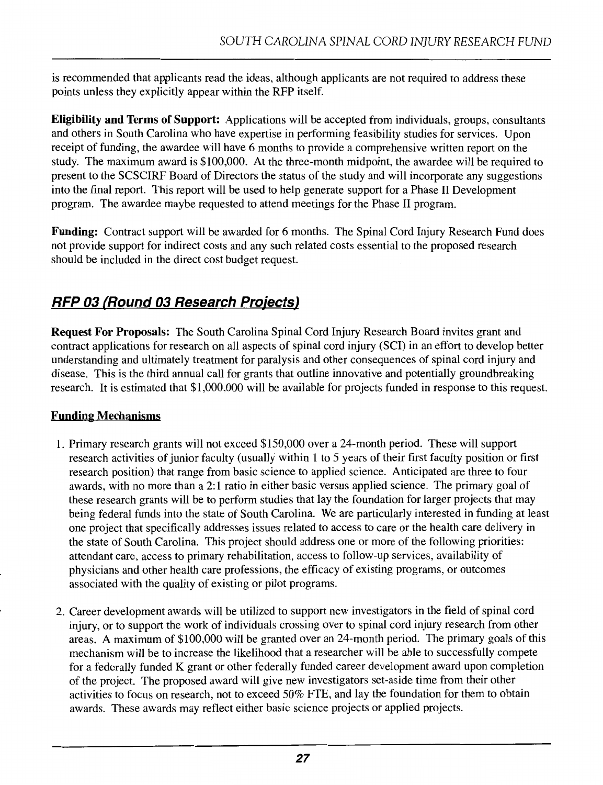is recommended that applicants read the ideas, although applicants are not required to address these points unless they explicitly appear within the RFP itself.

**Eligibility and Terms of Support:** Applications will be accepted from individuals, groups, consultants and others in South Carolina who have expertise in performing feasibility studies for services. Upon receipt of funding, the awardee will have 6 months to provide a comprehensive written report on the study. The maximum award is \$100,000. At the three-month midpoint, the awardee will be required to present to the SCSCIRF Board of Directors the status of the study and will incorporate any suggestions into the final report. This report will be used to help generate support for a Phase II Development program. The awardee maybe requested to attend meetings for the Phase II program.

**Funding:** Contract support will be awarded for 6 months. The Spinal Cord Injury Research Fund does not provide support for indirect costs and any such related costs essential to the proposed research should be included in the direct cost budget request.

### **RFP 03 (Round 03 Research Projects)**

**Request For Proposals:** The South Carolina Spinal Cord Injury Research Board invites grant and contract applications for research on all aspects of spinal cord injury (SCI) in an effort to develop better understanding and ultimately treatment for paralysis and other consequences of spinal cord injury and disease. This is the third annual call for grants that outline innovative and potentially groundbreaking research. It is estimated that \$1,000,000 will be available for projects funded in response to this request.

### **Funding Mechanisms**

- 1. Primary research grants will not exceed \$150,000 over a 24-month period. These will support research activities of junior faculty (usually within 1 to 5 years of their first faculty position or first research position) that range from basic science to applied science. Anticipated are three to four awards, with no more than a 2: 1 ratio in either basic versus applied science. The primary goal of these research grants will be to perform studies that lay the foundation for larger projects that may being federal funds into the state of South Carolina. We are particularly interested in funding at least one project that specifically addresses issues related to access to care or the health care delivery in the state of South Carolina. This project should address one or more of the following priorities: attendant care, access to primary rehabilitation, access to follow-up services, availability of physicians and other health care professions, the efficacy of existing programs, or outcomes associated with the quality of existing or pilot programs.
- 2. Career development awards will be utilized to support new investigators in the field of spinal cord injury, or to support the work of individuals crossing over to spinal cord injury research from other areas. A maximum of \$100,000 will be granted over an 24-month period. The primary goals of this mechanism will be to increase the likelihood that a researcher will be able to successfully compete for a federally funded K grant or other federally funded career development award upon completion of the project. The proposed award will give new investigators set-aside time from their other activities to focus on research, not to exceed 50% FTE, and lay the foundation for them to obtain awards. These awards may reflect either basic science projects or applied projects.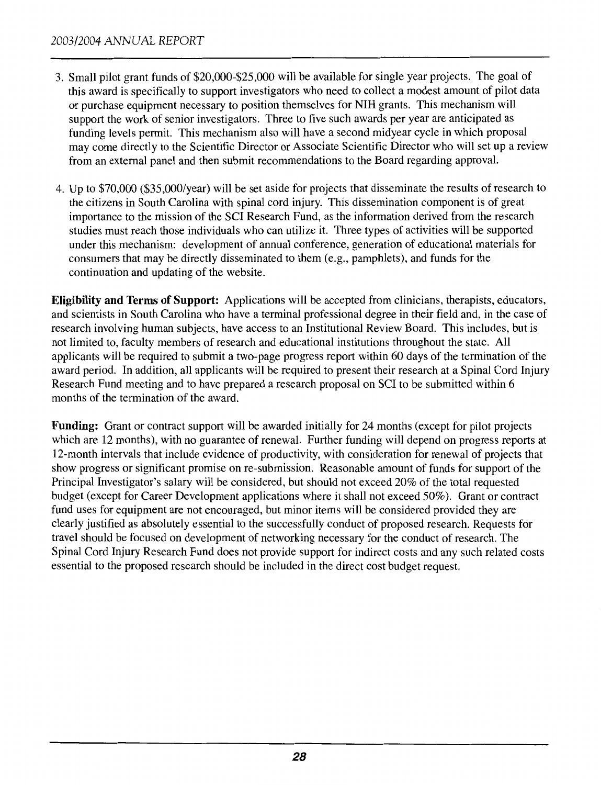- 3. Small pilot grant funds of \$20,000-\$25,000 will be available for single year projects. The goal of this award is specifically to support investigators who need to collect a modest amount of pilot data or purchase equipment necessary to position themselves for NIH grants. This mechanism will support the work of senior investigators. Three to five such awards per year are anticipated as funding levels permit. This mechanism also will have a second midyear cycle in which proposal may come directly to the Scientific Director or Associate Scientific Director who will set up a review from an external panel and then submit recommendations to the Board regarding approval.
- 4. Up to \$70,000 (\$35,000/year) will be set aside for projects that disseminate the results of research to the citizens in South Carolina with spinal cord injury. This dissemination component is of great importance to the mission of the SCI Research Fund, as the information derived from the research studies must reach those individuals who can utilize it. Three types of activities will be supported under this mechanism: development of annual conference, generation of educational materials for consumers that may be directly disseminated to them (e.g., pamphlets), and funds for the continuation and updating of the website.

**Eligibility and Terms of Support:** Applications will be accepted from clinicians, therapists, educators, and scientists in South Carolina who have a terminal professional degree in their field and, in the case of research involving human subjects, have access to an Institutional Review Board. This includes, but is not limited to, faculty members of research and educational institutions throughout the state. All applicants will be required to submit a two-page progress report within 60 days of the termination of the award period. In addition, all applicants will be required to present their research at a Spinal Cord Injury Research Fund meeting and to have prepared a research proposal on SCI to be submitted within 6 months of the termination of the award.

**Funding:** Grant or contract support will be awarded initially for 24 months (except for pilot projects which are 12 months), with no guarantee of renewal. Further funding will depend on progress reports at 12-month intervals that include evidence of productivity, with consideration for renewal of projects that show progress or significant promise on re-submission. Reasonable amount of funds for support of the Principal Investigator's salary will be considered, but should not exceed 20% of the total requested budget (except for Career Development applications where it shall not exceed 50% ). Grant or contract fund uses for equipment are not encouraged, but minor items will be considered provided they are clearly justified as absolutely essential to the successfully conduct of proposed research. Requests for travel should be focused on development of networking necessary for the conduct of research. The Spinal Cord Injury Research Fund does not provide support for indirect costs and any such related costs essential to the proposed research should be included in the direct cost budget request.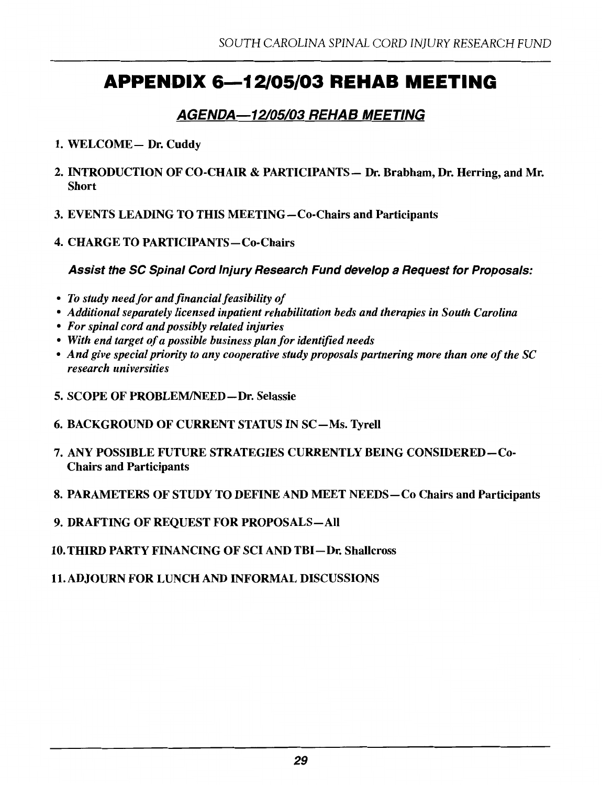# **APPEN-DIX 6-12/05/03 REHAB MEETING**

### AGENDA-12/05/03 REHAB MEETING

### 1. WELCOME- Dr. Cuddy

- 2. INTRODUCTION OF CO-CHAIR & PARTICIPANTS- Dr. Brabham, Dr. Herring, and Mr. Short
- 3. EVENTS LEADING TO THIS MEETING-Co-Chairs and Participants
- 4. CHARGE TO PARTICIPANTS-Co-Chairs

Assist the SC Spinal Cord Injury Research Fund develop a Request for Proposals:

- *To study need for and financial feasibility of*
- *Additional separately licensed inpatient rehabilitation beds and therapies in South Carolina*
- *For spinal cord and possibly related injuries*
- *With end target of a possible business plan for identified needs*
- *And give special priority to any cooperative study proposals partnering more than one of the SC research universities*
- 5. SCOPE OF PROBLEM/NEED-Dr. Selassie
- 6. BACKGROUND OF CURRENT STATUS IN SC-Ms. Tyrell
- 7. ANY POSSIBLE FUTURE STRATEGIES CURRENTLY BEING CONSIDERED-Co-Chairs and Participants
- 8. PARAMETERS OF STUDY TO DEFINE AND MEET NEEDS-Co Chairs and Participants
- 9. DRAFTING OF REQUEST FOR PROPOSALS-All
- 10. THIRD PARTY FINANCING OF SCI AND TBI-Dr. Shallcross

### 11. ADJOURN FOR LUNCH AND INFORMAL DISCUSSIONS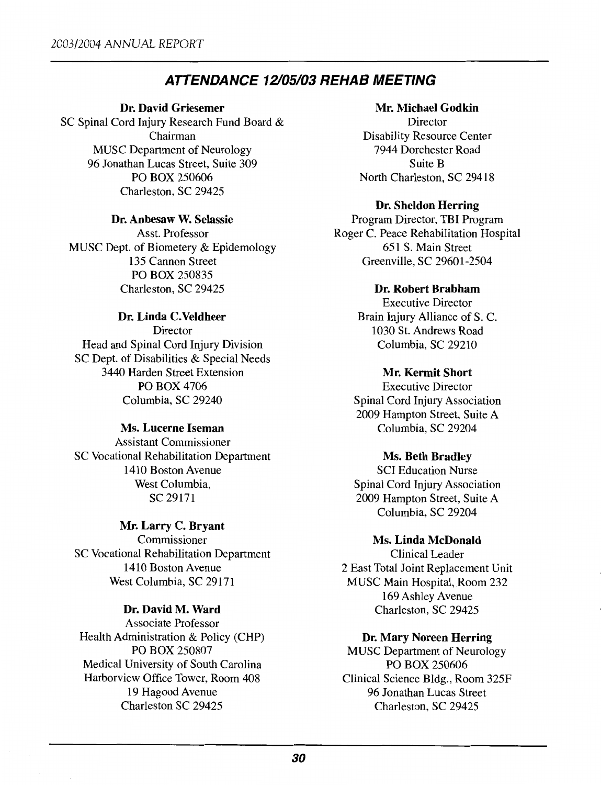### **ATTENDANCE 12105103 REHAB MEETING**

#### Dr. David Griesemer

SC Spinal Cord Injury Research Fund Board & Chairman MUSC Department of Neurology 96 Jonathan Lucas Street, Suite 309 PO BOX 250606 Charleston, SC 29425

#### Dr. Anbesaw W. Selassie

Asst. Professor MUSC Dept. of Biometery & Epidemology 135 Cannon Street PO BOX 250835 Charleston, SC 29425

### Dr. Linda C. Veldheer

Director Head and Spinal Cord Injury Division SC Dept. of Disabilities & Special Needs 3440 Harden Street Extension POBOX4706 Columbia, SC 29240

### Ms. Lucerne Iseman

Assistant Commissioner SC Vocational Rehabilitation Department 1410 Boston Avenue West Columbia, SC 29171

### Mr. Larry C. Bryant Commissioner SC Vocational Rehabilitation Department 1410 Boston Avenue

West Columbia, SC 29171

### Dr. David M. Ward

Associate Professor Health Administration & Policy (CHP) PO BOX 250807 Medical University of South Carolina Harborview Office Tower, Room 408 19 Hagood Avenue Charleston SC 29425

### Mr. Michael Godkin

**Director** Disability Resource Center 7944 Dorchester Road Suite B North Charleston, SC 29418

### Dr. Sheldon Herring

Program Director, TBI Program Roger C. Peace Rehabilitation Hospital 651 S. Main Street Greenville, SC 29601-2504

### Dr. Robert Brabham

Executive Director Brain Injury Alliance of S. C. 1030 St. Andrews Road Columbia, SC 29210

### Mr. Kermit Short

Executive Director Spinal Cord Injury Association 2009 Hampton Street, Suite A Columbia, SC 29204

### Ms. Beth Bradley

SCI Education Nurse Spinal Cord Injury Association 2009 Hampton Street, Suite A Columbia, SC 29204

### Ms. Linda McDonald

Clinical Leader 2 East Total Joint Replacement Unit MUSC Main Hospital, Room 232 169 Ashley Avenue Charleston, SC 29425

#### Dr. Mary Noreen Herring

MUSC Department of Neurology PO BOX 250606 Clinical Science Bldg., Room 325F 96 Jonathan Lucas Street Charleston, SC 29425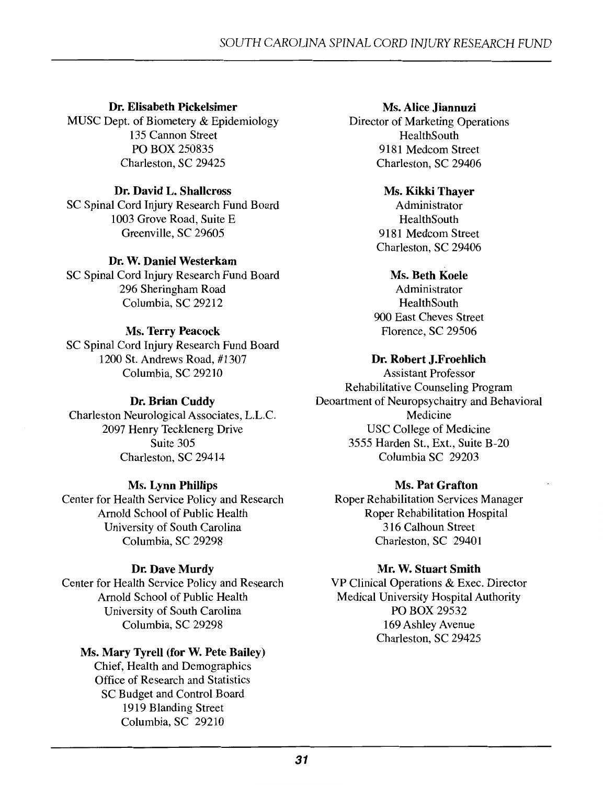### Dr. Elisabeth Pickelsimer

MUSC Dept. of Biometery & Epidemiology 135 Cannon Street PO BOX 250835 Charleston, SC 29425

### Dr. David L. Shallcross

SC Spinal Cord Injury Research Fund Board 1003 Grove Road, Suite E Greenville, SC 29605

### Dr. W. Daniel Westerkam

SC Spinal Cord Injury Research Fund Board 296 Sheringham Road Columbia, SC 29212

### Ms. Terry Peacock

SC Spinal Cord Injury Research Fund Board 1200 St. Andrews Road, #1307 Columbia, SC 29210

### Dr. Brian Cuddy

Charleston Neurological Associates, L.L.C. 2097 Henry Tecklenerg Drive Suite 305 Charleston, SC 29414

#### Ms. Lynn Phillips

Center for Health Service Policy and Research Arnold School of Public Health University of South Carolina Columbia, SC 29298

#### Dr. Dave Murdy

Center for Health Service Policy and Research Arnold School of Public Health University of South Carolina Columbia, SC 29298

#### Ms. Mary Tyrell (for W. Pete Bailey)

Chief, Health and Demographics Office of Research and Statistics SC Budget and Control Board 1919 Blanding Street Columbia, SC 29210

Ms. Alice Jiannuzi Director of Marketing Operations HealthSouth 9181 Medcom Street Charleston, SC 29406

#### Ms. Kikki Thayer

Administrator HealthSouth 9181 Medcom Street Charleston, SC 29406

### Ms. Beth Koele

Administrator HealthSouth 900 East Cheves Street Florence, SC 29506

#### Dr. Robert J.Froehlich

Assistant Professor Rehabilitative Counseling Program Deoartment of Neuropsychaitry and Behavioral Medicine USC College of Medicine 3555 Harden St., Ext., Suite B-20 Columbia SC 29203

#### Ms. Pat Grafton

Roper Rehabilitation Services Manager Roper Rehabilitation Hospital 316 Calhoun Street Charleston, SC 29401

### Mr. W. Stuart Smith

VP Clinical Operations & Exec. Director Medical University Hospital Authority PO BOX 29532 169 Ashley Avenue Charleston, SC 29425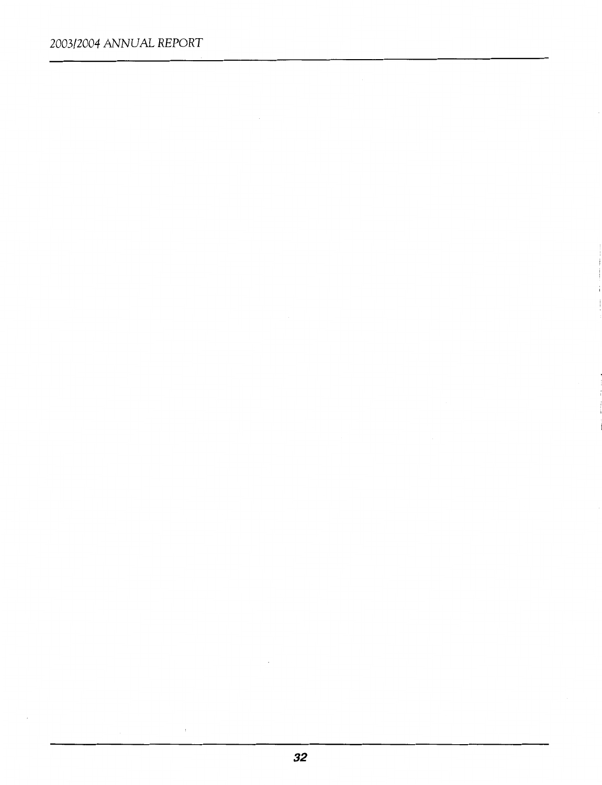$\ddot{\phantom{a}}$ 

 $\cdot$